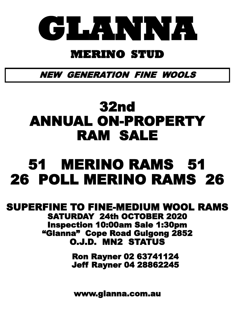

# **MERINO STUD**

NEW GENERATION FINE WOOLS

# 32nd ANNUAL ON-PROPERTY RAM SALE

# 51 MERINO RAMS 51 26 POLL MERINO RAMS 26

## SUPERFINE TO FINE-MEDIUM WOOL RAMS SATURDAY 24th OCTOBER 2020 Inspection 10:00am Sale 1:30pm "Glanna" Cope Road Gulgong 2852 O.J.D. MN2 STATUS

 Ron Rayner 02 63741124 Jeff Rayner 04 28862245

www.glanna.com.au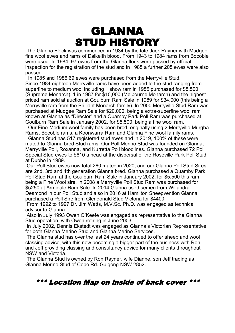# GLANNA STUD HISTORY

The Glanna Flock was commenced in 1934 by the late Jack Rayner with Mudgee fine wool ewes and rams of Dalkeith blood. From 1943 to 1984 rams from Bocoble were used. In 1984 97 ewes from the Glanna flock were passed by official inspection for the registration of the stud and in 1985 a further 205 ewes were also passed.

 In 1985 and 1986 69 ewes were purchased from the Merryville Stud. Since 1984 eighteen Merryville rams have been added to the stud ranging from superfine to medium wool including 1 show ram in 1985 purchased for \$8,500 (Supreme Monarch), 1 in 1987 for \$10,000 (Melbourne Monarch) and the highest priced ram sold at auction at Goulburn Ram Sale in 1989 for \$34,000 (this being a Merryville ram from the Brilliant Monarch family). In 2000 Merryville Stud Ram was purchased at Mudgee Ram Sale for \$20,000, being a extra-superfine wool ram known at Glanna as "Director" and a Quamby Park Poll Ram was purchased at Goulburn Ram Sale in January 2002, for \$5,500, being a fine wool ram.

 Our Fine-Medium wool family has been bred, originally using 2 Merryville Murgha Rams, Bocoble rams, a Koonwarra Ram and Glanna Fine wool family rams.

 Glanna Stud has 517 registered stud ewes and in 2019, 100% of these were mated to Glanna bred Stud rams. Our Poll Merino Stud was founded on Glanna, Merryville Poll, Roxanna, and Kurretta Poll bloodlines. Glanna purchased 72 Poll Special Stud ewes to \$610 a head at the dispersal of the Roseville Park Poll Stud at Dubbo in 1989.

Our Poll Stud ewes now total 260 mated in 2020, and our Glanna Poll Stud Sires are 2nd, 3rd and 4th generation Glanna bred. Glanna purchased a Quamby Park Poll Stud Ram at the Goulburn Ram Sale in January 2002, for \$5,500 this ram being a Fine Wool sire. In 2008 a Merryville Poll Stud Ram was purchased for \$5250 at Armidale Ram Sale. In 2014 Glanna used semen from Willandra Desmond in our Poll Stud and also in 2016 at Hamilton Sheepvention Glanna purchased a Poll Sire from Glendonald Stud Victoria for \$4400.

From 1992 to 1997 Dr. Jim Watts, M.V.Sc. Ph.D. was engaged as technical advisor to Glanna.

Also in July 1993 Owen O'Keefe was engaged as representative to the Glanna Stud operation, with Owen retiring in June 2003.

In July 2002, Dennis Ekstedt was engaged as Glanna's Victorian Representative for both Glanna Merino Stud and Glanna Merino Services.

The Glanna stud has over the last 24 years continued to offer sheep and wool classing advice, with this now becoming a bigger part of the business with Ron and Jeff providing classing and consultancy advice for many clients throughout NSW and Victoria.

The Glanna Stud is owned by Ron Rayner, wife Dianne, son Jeff trading as Glanna Merino Stud of Cope Rd. Gulgong NSW 2852.

## \*\*\* Location Map on inside of back cover \*\*\*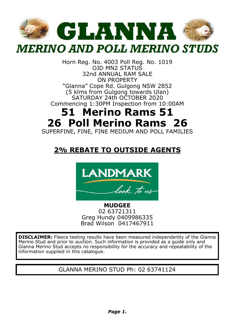

Horn Reg. No. 4003 Poll Reg. No. 1019 OJD MN2 STATUS 32nd ANNUAL RAM SALE ON PROPERTY "Glanna" Cope Rd. Gulgong NSW 2852 (5 klms from Gulgong towards Ulan) SATURDAY 24th OCTOBER 2020 Commencing 1:30PM Inspection from 10:00AM

# **51 Merino Rams 51 26 Poll Merino Rams 26**

SUPERFINE, FINE, FINE MEDIUM AND POLL FAMILIES

## **2% REBATE TO OUTSIDE AGENTS**



**MUDGEE** 02 63721311 Greg Hundy 0409986335 Brad Wilson 0417467911

**DISCLAIMER:** Fleece testing results have been measured independently of the Glanna Merino Stud and prior to auction. Such information is provided as a guide only and Glanna Merino Stud accepts no responsibility for the accuracy and repeatability of the information supplied in this catalogue.

GLANNA MERINO STUD Ph: 02 63741124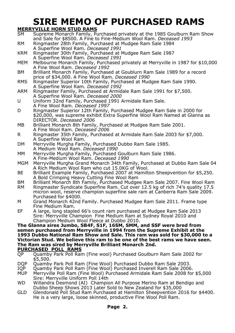# **SIRE MEMO OF PURCHASED RAMS**

## **MERRYVILLE HORN STUD RAMS**

|            | <b>MERRYVILLE HORN STUD RAMS</b>                                                                                                                              |
|------------|---------------------------------------------------------------------------------------------------------------------------------------------------------------|
| SM         | Supreme Monarch Family, Purchased privately at the 1985 Goulburn Ram Show<br>and Sale for \$8500. A Fine to Fine-Medium Wool Ram. Deceased 1993               |
| RM.        | Ringmaster 28th Family, Purchased at Mudgee Ram Sale 1984                                                                                                     |
|            | A Superfine Wool Ram. Deceased 1991                                                                                                                           |
| <b>KRM</b> | Ringmaster 30th Family, Purchased at Mudgee Ram Sale 1987                                                                                                     |
|            | A Superfine Wool Ram. Deceased 1991                                                                                                                           |
| MEM        | Melbourne Monarch Family, Purchased privately at Merryville in 1987 for \$10,000<br>A Fine Wool Ram. Deceased 1992                                            |
| BM.        | Brilliant Monarch Family, Purchased at Goublurn Ram Sale 1989 for a record                                                                                    |
|            | price of \$34,000. A Fine Wool Ram. Deceased 1990                                                                                                             |
| <b>RMS</b> | Ringmaster Superior 10th Family, Purchased at Mudgee Ram Sale 1990.                                                                                           |
|            | A Superfine Wool Ram. Deceased 1992                                                                                                                           |
| ARM        | Ringmaster Family, Purchased at Armidale Ram Sale 1991 for \$7,500.<br>A Superfine Wool Ram. Deceased 2000                                                    |
| U          | Uniform 32nd Family, Purchased 1991 Armidale Ram Sale.                                                                                                        |
|            | A Fine Wool Ram. Deceased 1997                                                                                                                                |
| D          | Ringmaster Superior 12th Family, Purchased Mudgee Ram Sale in 2000 for                                                                                        |
|            | \$20,000, was supreme exhibit Extra Superfine Wool Ram Named at Glanna as                                                                                     |
|            | DIRECTOR. Deceased 2006                                                                                                                                       |
| MВ         | Brilliant Monarch 8th Family, Purchased at Mudgee Ram Sale 2001.<br>A Fine Wool Ram. Deceased 2006                                                            |
| R          | Ringmaster 35th Family, Purchased at Armidale Ram Sale 2003 for \$7,000.                                                                                      |
|            | A Superfine Wool Ram.                                                                                                                                         |
| DM.        | Merryville Murgha Family, Purchased Dubbo Ram Sale 1985.                                                                                                      |
|            | A Medium Wool Ram. Deceased 1990                                                                                                                              |
| MМ         | Merryville Murgha Family, Purchased Goulburn Ram Sale 1986.                                                                                                   |
| MGM        | A Fine-Medium Wool Ram. Deceased 1990<br>Merryville Murgha Grand Monarch 34th Family, Purchased at Dubbo Ram Sale 04                                          |
|            | A Rich Medium Wool Ram who cut 15.0KG of Wool.                                                                                                                |
| BЕ         | Brilliant Example Family, Purchased 2007 at Hamilton Sheepvention for \$5,250.                                                                                |
|            | A Bold Crimping Heavy Cutting Fine Wool Ram                                                                                                                   |
| ΒM         | Brilliant Monarch 8th Family, Purchased Mudgee Ram Sale 2007. Fine Wool Ram                                                                                   |
| RМ         | Ringmaster Syndicate Superfine Ram. Cut over 12.5 kg of rich 74's quality 17.5<br>micron wool, reserve champion superfine sale ram at Canberra Ram Sale 2009. |
|            | Purchased for \$4000.                                                                                                                                         |
| м          | Grand Monarch 42nd Family. Purchased Mudgee Ram Sale 2011. Frame type                                                                                         |
|            | Fine Medium Ram.                                                                                                                                              |
| EF         | A large, long stapled 66's count ram purchased at Mudgee Ram Sale 2013                                                                                        |
|            | Sire: Merryville Champion Fine Medium Ram at Sydney Royal 2010 and                                                                                            |
|            | Champion Medium Wool Fleece at Dubbo 2010.                                                                                                                    |
|            | The Glanna sires Jumbo, SB4F, S1F, 16SM, SMM, and SSF were bred from<br>semen purchased from Merryville in 1994 from the Supreme Exhibit at the               |
|            | 1993 Dubbo National Ram Show and Sale. This ram was sold for \$30,000 to a                                                                                    |
|            | Victorian Stud. We believe this ram to be one of the best rams we have seen.                                                                                  |
|            | The Ram was sired by Merryville Brilliant Monarch 2nd.                                                                                                        |
|            | PURCHASED POLL RAMS<br>Quamby Park Poll Ram (Fine wool) Purchased Goulburn Ram Sale 2002 for                                                                  |
| QP         | \$5,500.                                                                                                                                                      |

- DQP Quamby Park Poll Ram (Fine Wool) Purchased Dubbo Ram Sale 2003.
- IQP Quamby Park Poll Ram (Fine Wool) Purchased Inverell Ram Sale 2006.
- MUP Merryville Poll Ram (Fine Wool) Purchased Armidale Ram Sale 2008 for \$5,000 Sire: Merryville Uniform Poll 14th
- WD Willandra Desmond (AI) Champion All Purpose Merino Ram at Bendigo and Dubbo Sheep Shows 2013 Later Sold to New Zealand for \$35,000
- GLD Glendonald Poll Stud Ram Purchased at Hamilton Sheepvention 2016 for \$4400. He is a very large, loose skinned, productive Fine Wool Poll Ram.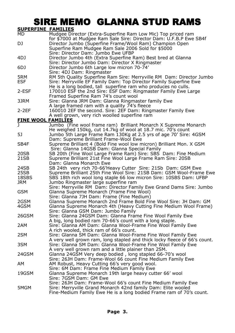## SIRE MEMO GLANNA STUD RAMS

**SUPERFINE FAMILIES**

| <u>JUFLR</u><br>          | ГАМІР                                                                                                                                                                                                       |
|---------------------------|-------------------------------------------------------------------------------------------------------------------------------------------------------------------------------------------------------------|
| MD                        | Mudgee Director (Extra-Superfine Ram Low Mic) Top priced ram<br>for \$7000 at Mudgee Ram Sale Sire: Director Dam: U.F.B.P Ewe SB4f                                                                          |
| DJ                        | Director Jumbo (Superfine Frame/Wool Ram) Champion Open<br>Superfine Ram Mudgee Ram Sale 2006 Sold for \$5000<br>Sire: Director Dam: Jumbo Ewe UFBP                                                         |
| 4DJ                       | Director Jumbo 4th (Extra Superfine Ram) Best bred at Glanna<br>Sire: Director Jumbo Dam: Director X Ringmaster                                                                                             |
| 6DJ                       | Director Jumbo 6th Large low micron 70-74'<br>Sire: 4DJ Dam: Ringmaster                                                                                                                                     |
| 5RM<br>ESF                | RM 5th Quality Superfine Ram Sire: Merryville RM Dam: Director Jumbo<br>Sire: Merryville EF Family Dam: Top Director Family Superfine Ewe<br>He is a long bodied, tall superfine ram who produces no culls. |
| 2-ESF                     | 170010 ESF the 2nd Sire: ESF Dam: Ringmaster Family Ewe Large<br>Framed Superfine Ram 74's count wool                                                                                                       |
| 3JRM                      | Sire: Glanna JRM Dam: Glanna Ringmaster family Ewe<br>A large framed ram with a quality 74's fleece                                                                                                         |
| 2-2EF                     | 160010 2EF the second. Sire: 2EF Dam: Ringmaster Family Ewe<br>A well grown, very rich woolled superfine ram                                                                                                |
| <b>FINE WOOL FAMILIES</b> |                                                                                                                                                                                                             |
| J                         | Jumbo (Fine wool frame ram) Brilliant Monarch X Supreme Monarch                                                                                                                                             |
| 5J                        | He weighed 150kg, cut 14.7kg of wool at 18.7 mic. 70's count<br>Jumbo 5th Large Frame Ram 130Kg at 2.5 yrs of age 70' Sire: 4GSM<br>Dam: Supreme Brilliant Frame-Wool Ewe                                   |
| SB4F                      | Supreme Brilliant 4 (Bold Fine wool low micron) Brilliant Mon. X GSM<br>Sire: Glanna 14GSB Dam: Glanna Special Family                                                                                       |
| 20SB<br>21SB              | SB 20th (Fine Wool Large Frame Ram) Sire: SBS Dam: Fine Medium<br>Supreme Brilliant 21st Fine Wool Large Frame Ram Sire: 20SB<br>Dam: Glanna Monarch Ewe                                                    |
| 24SB                      | SB 24th very rich 70-66'Heavy Cutter Sire: 21Sb Dam: GSM Ewe                                                                                                                                                |
| 25SB                      | Supreme Brilliant 25th Fine Wool Sire: 21SB Dam: GSM Wool-Frame Ewe                                                                                                                                         |
| 18SBS                     | SBS 18th rich wool long staple 66 low micron Sire: 10SBS Dam: UFBP                                                                                                                                          |
| JRM                       | Jumbo Ringmaster large superfine ram<br>Sire: Merryville RM Dam: Director Family Ewe Grand Dams Sire: Jumbo                                                                                                 |
| GSM                       | Glanna Supreme Monarch (Frame Fine Wool)<br>Sire: Glanna 7JH Dam: Frame (Fine Medium)                                                                                                                       |
| 2GSM                      | Glanna Supreme Monarch 2nd Frame Bold Fine Wool Sire: JH Dam: GM                                                                                                                                            |
| 4GSM                      | Glanna Supreme Monarch 4th (Heavy Cutting Fine Medium Wool Frame)<br>Sire: Glanna GSM Dam: Jumbo Family                                                                                                     |
| 26GSM                     | Sire: Glanna 24GSM Dam: Glanna Frame Fine Wool Family Ewe<br>A big, long bodied ram 70-66's count with a long staple.                                                                                       |
| 2AM                       | Sire: Glanna AM Dam: Glanna Wool-Frame Fine Wool Family Ewe<br>A rich wooled, thick ram of 66's count.                                                                                                      |
| 2SM                       | Sire: Glanna SM Dam: Glanna Wool-Frame Fine Wool Family Ewe<br>A very well grown ram, long stapled and thick locky fleece of 66's count.                                                                    |
| 3SM                       | Sire: Glanna SM Dam: Glanna Wool-Frame Fine Wool Family Ewe<br>A very well grown ram and a little plainer than 2SM.                                                                                         |
| 24GSM                     | Glanna 24GSM Very deep bodied, long stapled 66-70's wool<br>Sire: 26JH Dam: Frame-Wool 66 count Fine Medium Family Ewe                                                                                      |
| AM                        | AM Robust, Heavy Cutting 66's very good wool.<br>Sire: 6M Dam: Frame Fine Medium Family Ewe                                                                                                                 |
| 19GSM                     | Glanna Supreme Monarch 19th large heavy cutter 66' wool<br>Sire: 7GSM Dam: GM Ewe                                                                                                                           |
| 5MGM                      | Sire: 26JH Dam: Frame-Wool 66's count Fine Medium Family Ewe<br>Sire: Merryville Grand Monarch 42nd family Dam: Elite wooled<br>Fine-Medium Family Ewe He is a long bodied Frame ram of 70's count.         |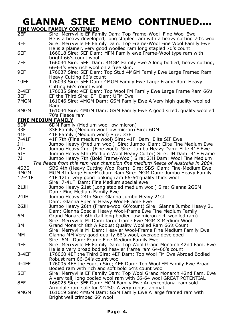# **GLANNA SIRE MEMO CONTINUED….**

**FINE WOOL FAMILY CONTINUED**

|                           | <u>AMIL CONTINUED</u>                                                                                                                                                                                           |
|---------------------------|-----------------------------------------------------------------------------------------------------------------------------------------------------------------------------------------------------------------|
| 2EF<br>3EF                | Sire: Merryville EF Family Dam: Top Frame-Wool Fine Wool Ewe<br>He is a heavy developed, long stapled ram with a heavy cutting 70's wool<br>Sire: Merryville EF Family Dam: Top Frame-Wool Fine Wool Family Ewe |
| 6EF                       | He is a plainer, very good woolled ram long stapled 70's count<br>166018 Sire: 5EF Dam: MFM Family ewe Frame-Wool type ram with                                                                                 |
| 7EF                       | bright 66's count wool<br>166034 Sire: 5EF Dam: 4MGM Family Ewe A long bodied, heavy cutting,<br>66-64's very rich wool on a free skin.                                                                         |
| 9EF                       | 176037 Sire: 5EF Dam: Top Stud 4MGM Family Ewe Large Framed Ram<br>Heavy Cutting 66's count                                                                                                                     |
| 10EF                      | 176033 Sire: 5EF Dam: 4MGM Family Ewe Large Frame Ram Heavy<br>Cutting 66's count wool                                                                                                                          |
| 2-4EF<br>3EF              | 176035 Sire: 4EF Dam: Top Wool FM Family Ewe Large Frame Ram 66's<br>EF the Third Sire: EF Dam: UFM Ewe                                                                                                         |
| 7MGM                      | 161046 Sire: 4MGM Dam: GSM Family Ewe A Very high quality woolled<br>Ram.                                                                                                                                       |
| 8MGM                      | 161034 Sire: 4MGM Dam: GSM Family Ewe A good sized, quality woolled                                                                                                                                             |
| <b>FINE MEDIUM FAMILY</b> | 70's Fleece ram                                                                                                                                                                                                 |
| 6DM                       | 6DM Family (Medium wool low micron)                                                                                                                                                                             |
| 33F                       | 33F Family (Medium wool low micron) Sire: 6DM                                                                                                                                                                   |
| 41F                       | 41F Family (Medium wool) Sire: 33F                                                                                                                                                                              |
| 7-41F                     | 41F 7th (Fine medium wool) Sire: 41F Dam: Elite SIF Ewe                                                                                                                                                         |
| JH                        | Jumbo Heavy (Medium wool) Sire: Jumbo Dam: Elite Fine Medium Ewe                                                                                                                                                |
| 2JH                       | Jumbo Heavy 2nd (Fine wool) Sire: Jumbo Heavy Dam: Elite 41F Ewe                                                                                                                                                |
| 5JH                       | Jumbo Heavy 5th (Medium Wool Heavy Cutter) Sire: JH Dam: 41F Frame                                                                                                                                              |
| 7JH                       | Jumbo Heavy 7th (Bold Frame/Wool) Sire: 2JH Dam: Wool Fine Medium                                                                                                                                               |
|                           | The fleece from this ram was champion fine medium fleece of Australia in 2004.                                                                                                                                  |
| 4SBS                      | SBS 4th (Heavy Cutting Wool Ram) Sire: SBS Dam: Fine-Medium Ewe                                                                                                                                                 |
| 4MGM                      | MGM 4th large Fine-Medium Ram Sire: MGM Dam: Jumbo Heavy Family                                                                                                                                                 |
| 12-41F                    | 41F 12th very good looking ram 66-64'quality thick wool                                                                                                                                                         |
|                           | Sire: 7-41F Dam: Fine Medium special ewe                                                                                                                                                                        |
| 21JH                      | Jumbo Heavy 21st (Long stapled medium wool) Sire: Glanna 2GSM                                                                                                                                                   |
|                           | Dam: Fine Medium Family Ewe                                                                                                                                                                                     |
| 24JH                      | Jumbo Heavy 24th Sire: Glanna Jumbo Heavy 21st                                                                                                                                                                  |
|                           | Dam: Glanna Special Heavy Wool-Frame Ewe                                                                                                                                                                        |
| 26JH                      | Jumbo Heavy 26th (Frame-wool 66'count) Sire: Glanna Jumbo Heavy 21<br>Dam: Glanna Special Heavy Wool-frame Ewe Fine Medium Family                                                                               |
| 6М                        | Grand Monarch 6th (tall long bodied low micron rich woolled ram)<br>Sire: Merryville M Dam: large frame Ewe MGM X Medium Wool                                                                                   |
| 8М                        | Grand Monarch 8th A Robust Quality Woolled Ram 66's Count<br>Sire: Merryville M Dam: Heavier Wool-Frame Fine Medium Family Ewe                                                                                  |
| мм                        | Glanna MM Very good quality 66's wool, average developed<br>Sire: 6M Dam: Frame Fine Medium Family Ewe                                                                                                          |
| 4EF                       | Sire: Merryville EF Family Dam: Top Wool Grand Monarch 42nd Fam. Ewe<br>He is a very broad bodied heavier frame ram 64-66's count.                                                                              |
| 3-4EF                     | 176060 4EF the Third Sire: 4EF Dam: Top Wool FM Ewe Abroad Bodied                                                                                                                                               |
| 4-4EF                     | Robust ram 66-64's count wool<br>176005 4EF the Fourth Sire; 4EF Dam: Top Wool FM Family Ewe Broad                                                                                                              |
| 5EF                       | Bodied ram with rich and soft bold 64's count wool<br>Sire: Merryville EF Family Dam: Top Wool Grand Monarch 42nd Fam. Ewe                                                                                      |
| 8EF                       | A very tall, long bodied wool ram with 66-64 wool GREAT POTENTIAL<br>166025 Sire: 5EF Dam: MGM Family Ewe An exceptional ram sold                                                                               |
|                           | Armidale ram sale for \$4250. A very robust animal.                                                                                                                                                             |
| 9MGM                      | 161019 Sire: 4MGM Dam: GSM Family Ewe A large framed ram with<br>Bright well crimped 66' wool                                                                                                                   |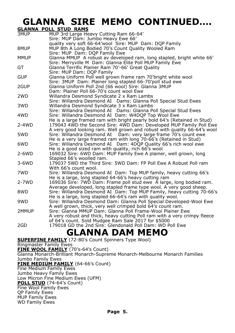# **GLANNA SIRE MEMO CONTINUED….**

|                  | <b>GLANNA POLL STUD RAMS</b>                                                                                    |
|------------------|-----------------------------------------------------------------------------------------------------------------|
| 3MUP             | MUP 3rd Large Heavy Cutting Ram 66-64'                                                                          |
|                  | Sire: MUP Dam: Jumbo Heavy Ewe 66'                                                                              |
|                  | quality very soft 66-64'wool Sire: MUP Dam: DQP Family                                                          |
| 8MUP             | MUP 8th A Long Bodied 70's Count Quality Wooled Ram                                                             |
|                  | Sire: MUP Dam: DQP Family Ewe                                                                                   |
| MMUP             | Glanna MMUP A robust av developed ram, long stapled, bright white 66'                                           |
|                  | Sire: Merryville M Dam: Glanna Elite Poll MUP Family Ewe                                                        |
| GT               | Glanna Terrific Plainer Ram 70'-66' Great Quality                                                               |
|                  | Sire: MUP Dam: DOP Family                                                                                       |
| <b>GUP</b>       | Glanna Uniform Poll well grown frame ram 70'bright white wool                                                   |
|                  | Sire: 3MUP Dam: Plainer long stapled 66-70'poll stud ewe                                                        |
| 2GUP             | Glanna Uniform Poll 2nd (66 wool) Sire: Glanna 3MUP                                                             |
|                  | Dam: Plainer Poll 66-70's count wool Ewe                                                                        |
| 2 <sub>W</sub> D | Willandra Desmond Syndicate 2 x Ram Lambs                                                                       |
|                  | Sire: Willandra Desmond AI Dams: Glanna Poll Special Stud Ewes                                                  |
| 3WD              | Willandra Desmond Syndicate 3 x Ram Lambs                                                                       |
|                  | Sire: Willandra Desmond AI Dams: Glanna Poll Special Stud Ewes                                                  |
| 4WD              | Sire: Willandra Desmond AI Dam: W4DQP Top Wool Ewe                                                              |
|                  | He is a large framed ram with bright pearly bold 64's (Retained in Stud)                                        |
| $2 - 4WD$        | 179043 4WD the Second Sire: 4WD Dam: Developed MUP Family Poll Ewe                                              |
|                  | A very good looking ram. Well grown and robust with quality 66-64's wool                                        |
| 5WD              | Sire: Willandra Desmond AI Dam: very large frame 70's count ewe                                                 |
|                  | He is a very large framed ram with long 70-66's (Retained in Stud)                                              |
| 6WD              | Sire: Willandra Desmond AI Dam: 4DQP Quality 66's rich wool ewe                                                 |
|                  | He is a good sized ram with quality, rich 66's wool                                                             |
| $2-6WD$          | 169032 Sire: 6WD Dam: MUP Family Ewe A plainer, well grown, long                                                |
|                  | Stapled 66's woolled ram.                                                                                       |
| 3-6WD            | 179037 5WD the Third Sire: 5WD Dam: FP Poll Ewe A Robust Poll ram                                               |
|                  | With 66's count wool.                                                                                           |
| 7WD              | Sire: Willandra Desmond AI Dam: Top MUP family, heavy cutting 66's                                              |
|                  | He is a large, long stapled 64-66's heavy cutting ram                                                           |
| $2 - 7WD$        | 169036 Sire: 7WD Dam: Frame poll stud ewe A large, long bodied ram.                                             |
|                  | Average developed, long stapled frame type wool. A very good sheep.                                             |
| 8WD              | Sire: Willandra Desmond AI Dam: Top MUP Family, heavy cutting 70-66's                                           |
| 9WD              | He is a large, long stapled 66-64's ram with quality wool.                                                      |
|                  | Sire: Willandra Desmond Dam: Glanna Poll Special Developed-Wool Ewe                                             |
|                  | A well grown, thick, very well crimped bold 64's count ram.                                                     |
| 2MMUP            | Sire: Glanna MMUP Dam: Glanna Poll Frame-Wool Plainer Ewe                                                       |
|                  | A very robust and thick, heavy cutting Poll ram with a very crimpy fleece                                       |
|                  | of 64's count. Sold Mudgee Ram Sale 2017 for \$5000<br>179018 GD the 2nd Sire: Glendonald Poll Dam: WD Poll Ewe |
| 2GD              |                                                                                                                 |
|                  | <b>GLANNA DAM MEMO</b>                                                                                          |
|                  |                                                                                                                 |
|                  | <b>SUPERFINE FAMILY</b> (72-80's Count Spinners Type Wool)                                                      |

Ringmaster Family Ewes

**FINE WOOL FAMILY** (70's-64's Count)

Glanna Monarch-Brilliant Monarch-Supreme Monarch-Melbourne Monarch Families Jumbo Family Ewes

## **FINE MEDIUM FAMILY** (64-66's Count)

Fine Medium Family Ewes

Jumbo Heavy Family Ewes

Low Micron Fine Medium Ewes (UFM)

**POLL STUD** (74-64's Count)

Fine Wool Family Ewes QP Family Ewes

MUP Family Ewes

WD Family Ewes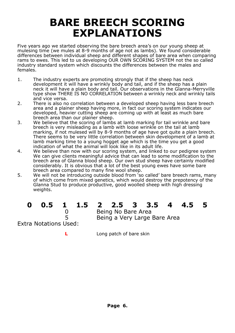# **BARE BREECH SCORING EXPLANATIONS**

Five years ago we started observing the bare breech area's on our young sheep at mulesing time (we mules at 8-9 months of age not as lambs). We found considerable differences between individual sheep and different shapes of bare area when comparing rams to ewes. This led to us developing OUR OWN SCORING SYSTEM not the so called industry standard system which discounts the differences between the males and females.

- 1. The industry experts are promoting strongly that if the sheep has neck development it will have a wrinkly body and tail, and if the sheep has a plain neck it will have a plain body and tail. Our observations in the Glanna-Merryville type show THERE IS NO CORRELATION between a wrinkly neck and wrinkly tails and vice versa.
- 2. There is also no correlation between a developed sheep having less bare breech area and a plainer sheep having more, in fact our scoring system indicates our developed, heavier cutting sheep are coming up with at least as much bare breech area than our plainer sheep.
- 3. We believe that the scoring of lambs at lamb marking for tail wrinkle and bare breech is very misleading as a lamb with loose wrinkle on the tail at lamb marking, if not mulesed will by 8-9 months of age have got quite a plain breech. There seems to be very little correlation between skin development of a lamb at lamb marking time to a young hogget age which is the time you get a good indication of what the animal will look like in its adult life.
- 4. We believe than now with our scoring system, and linked to our pedigree system We can give clients meaningful advice that can lead to some modification to the breech area of Glanna blood sheep. Our own stud sheep have certainly modified considerably. It is obvious that a lot of the best young ewes have some bare breech area compared to many fine wool sheep.
- 5. We will not be introducing outside blood from 'so called' bare breech rams, many of which come from mixed genetics, which would destroy the prepotency of the Glanna Stud to produce productive, good woolled sheep with high dressing weights.

| ----                  |   |  |
|-----------------------|---|--|
|                       | O |  |
|                       | 5 |  |
| Extra Notations Used: |   |  |

## **0 0.5 1 1.5 2 2.5 3 3.5 4 4.5 5**

0 Being No Bare Area 5 Being a Very Large Bare Area

**L** Long patch of bare skin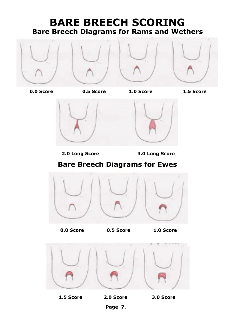## **BARE BREECH SCORING Bare Breech Diagrams for Rams and Wethers**



 **0.0 Score 0.5 Score 1.0 Score 1.5 Score** 





 **2.0 Long Score 3.0 Long Score**

## **Bare Breech Diagrams for Ewes**



 **0.0 Score 0.5 Score 1.0 Score**



 **1.5 Score 2.0 Score 3.0 Score**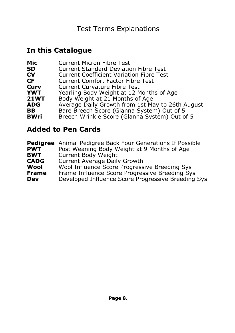## **In this Catalogue**

| Mic         | <b>Current Micron Fibre Test</b>                 |
|-------------|--------------------------------------------------|
| SD          | <b>Current Standard Deviation Fibre Test</b>     |
| CV          | <b>Current Coefficient Variation Fibre Test</b>  |
| CF.         | <b>Current Comfort Factor Fibre Test</b>         |
| Curv        | Current Curvature Fibre Test                     |
| <b>YWT</b>  | Yearling Body Weight at 12 Months of Age         |
| <b>21WT</b> | Body Weight at 21 Months of Age                  |
| <b>ADG</b>  | Average Daily Growth from 1st May to 26th August |
| BB.         | Bare Breech Score (Glanna System) Out of 5       |
| <b>BWri</b> | Breech Wrinkle Score (Glanna System) Out of 5    |
|             |                                                  |

## **Added to Pen Cards**

| <b>PWT</b>   | <b>Pedigree</b> Animal Pedigree Back Four Generations If Possible<br>Post Weaning Body Weight at 9 Months of Age |
|--------------|------------------------------------------------------------------------------------------------------------------|
|              |                                                                                                                  |
| <b>BWT</b>   | Current Body Weight                                                                                              |
| <b>CADG</b>  | Current Average Daily Growth                                                                                     |
| Wool         | Wool Influence Score Progressive Breeding Sys                                                                    |
| <b>Frame</b> | Frame Influence Score Progressive Breeding Sys                                                                   |
| Dev          | Developed Influence Score Progressive Breeding Sys                                                               |
|              |                                                                                                                  |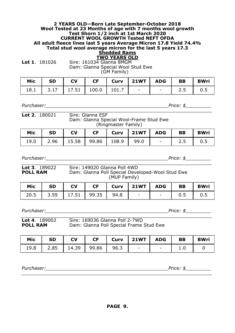## **2 YEARS OLD—Born Late September-October 2018 Wool Tested at 23 Months of age with 7 months wool growth Test Shorn 1/2 inch at 1st March 2020 CURRENT WOOL GROWTH Tested NEFT OFDA All adult fleece lines last 5 years Average Micron 17.8 Yield 74.4% Total stud wool average micron for the last 5 years 17.3 Shedded Rams**

## **TWO YEARS OLD**

**Lot 1**. 181026 Sire: 161034 Glanna 8MGM Dam: Glanna Special Wool Stud Ewe (GM Family)

| Mic | I SD                        | <b>CV</b> | CF Curv 21WT ADG BB BWri |  |                         |  |
|-----|-----------------------------|-----------|--------------------------|--|-------------------------|--|
|     | 18.1 3.17 17.51 100.0 101.7 |           |                          |  | $\vert$ 2.5 $\vert$ 0.5 |  |

*Purchaser:\_\_\_\_\_\_\_\_\_\_\_\_\_\_\_\_\_\_\_\_\_\_\_\_\_\_\_\_\_\_\_\_\_\_\_\_\_\_\_\_\_\_\_Price: \$\_\_\_\_\_\_\_\_\_*

*\_\_\_\_\_\_\_\_\_\_\_\_\_\_\_\_\_\_\_\_\_\_\_\_\_\_\_\_\_\_\_\_\_\_\_\_\_\_\_\_\_\_\_\_\_\_\_\_\_\_\_\_\_\_\_\_\_\_\_\_\_\_\_\_\_\_\_* **Lot 2**. 180021 Sire: Glanna ESF Dam: Glanna Special Wool-Frame Stud Ewe (Ringmaster Family)

| Mic  | <b>SD</b> | <b>CV</b> | <b>CF</b> | Curv 21WT ADG L |                  | <b>BB</b> | <b>BWri</b> |
|------|-----------|-----------|-----------|-----------------|------------------|-----------|-------------|
| 19.0 |           |           |           |                 | $\sim$ 100 $\mu$ |           |             |

*Purchaser:\_\_\_\_\_\_\_\_\_\_\_\_\_\_\_\_\_\_\_\_\_\_\_\_\_\_\_\_\_\_\_\_\_\_\_\_\_\_\_\_\_\_\_Price: \$\_\_\_\_\_\_\_\_\_*

| <b>Lot 3.</b> $189022$ | Sire: 149020 Glanna Poll 4WD                                     |
|------------------------|------------------------------------------------------------------|
| <b>POLL RAM</b>        | Dam: Glanna Poll Special Developed-Wool Stud Ewe<br>(MUP Family) |

| Mic | l SD | l cv                       |  |  |           | <b>BWri</b> |
|-----|------|----------------------------|--|--|-----------|-------------|
|     |      | 20.5 3.59 17.51 99.35 94.8 |  |  | $0.5$ 0.5 |             |

*Purchaser:\_\_\_\_\_\_\_\_\_\_\_\_\_\_\_\_\_\_\_\_\_\_\_\_\_\_\_\_\_\_\_\_\_\_\_\_\_\_\_\_\_\_\_Price: \$\_\_\_\_\_\_\_\_\_*

*\_\_\_\_\_\_\_\_\_\_\_\_\_\_\_\_\_\_\_\_\_\_\_\_\_\_\_\_\_\_\_\_\_\_\_\_\_\_\_\_\_\_\_\_\_\_\_\_\_\_\_\_\_\_\_\_\_\_\_\_\_\_\_\_\_\_\_* **Lot 4**. 189002 Sire: 169036 Glanna Poll 2-7WD **POLL RAM** Dam: Glanna Poll Special Frame Stud Ewe

| Mic  | <b>SD</b> | <b>CV</b> | CF    | Curv | <b>21WT</b> | <b>ADG</b>               | BB | <b>BWri</b> |
|------|-----------|-----------|-------|------|-------------|--------------------------|----|-------------|
| 19.8 | 2.85      | 14.39     | 99.86 | 96.3 | $\sim$      | $\overline{\phantom{0}}$ |    |             |

*\_\_\_\_\_\_\_\_\_\_\_\_\_\_\_\_\_\_\_\_\_\_\_\_\_\_\_\_\_\_\_\_\_\_\_\_\_\_\_\_\_\_\_\_\_\_\_\_\_\_\_\_\_\_\_\_\_\_\_\_\_\_\_\_\_\_\_*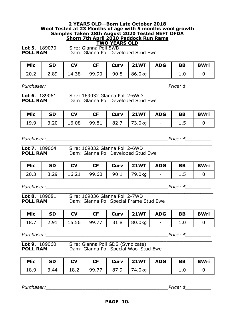## **2 YEARS OLD—Born Late October 2018 Wool Tested at 23 Months of age with 5 months wool growth Samples Taken 28th August 2020 Tested NEFT OFDA Shorn 7th April 2020 Paddock Run Rams**

**TWO YEARS OLD**<br>Sire: Glanna Poll 5WD **Lot 5**. 189070<br>**POLL RAM** Dam: Glanna Poll Developed Stud Ewe

| Mic  | <b>SD</b> | <b>CV</b>                     | <b>CF</b> | Curv   21WT $\vert$ | ADG I                    | <b>BB</b> | <b>BWri</b> |
|------|-----------|-------------------------------|-----------|---------------------|--------------------------|-----------|-------------|
| 20.2 | 12.89     | 14.38   99.90   90.8   86.0kg |           |                     | <b>Contract Contract</b> | 1.0       |             |

*Purchaser:*<br> $\blacksquare$ 

*\_\_\_\_\_\_\_\_\_\_\_\_\_\_\_\_\_\_\_\_\_\_\_\_\_\_\_\_\_\_\_\_\_\_\_\_\_\_\_\_\_\_\_\_\_\_\_\_\_\_\_\_\_\_\_\_\_\_\_\_\_\_\_\_\_\_\_* **Lot 6**. 189061 Sire: 169032 Glanna Poll 2-6WD **POLL RAM** Dam: Glanna Poll Developed Stud Ewe

| Mic | <b>SD</b>                         | <b>CV</b> | <b>CF</b> | Curv   21WT   ADG |               | <b>BB</b> | <b>BWri</b> |
|-----|-----------------------------------|-----------|-----------|-------------------|---------------|-----------|-------------|
|     | 19.9 3.20 16.08 99.81 82.7 73.0kg |           |           |                   | $\sim$ $\sim$ | 1.5       |             |

*Purchaser:\_\_\_\_\_\_\_\_\_\_\_\_\_\_\_\_\_\_\_\_\_\_\_\_\_\_\_\_\_\_\_\_\_\_\_\_\_\_\_\_\_\_\_Price: \$\_\_\_\_\_\_\_\_\_*

| <b>Lot 7.</b> 189064 | Sire: 169032 Glanna Poll 2-6WD      |  |
|----------------------|-------------------------------------|--|
| <b>POLL RAM</b>      | Dam: Glanna Poll Developed Stud Ewe |  |

**Lot 7**. 189064 Sire: 169032 Glanna Poll 2-6WD Dam: Glanna Poll Developed Stud Ewe

| Mic | <b>SD</b> | $\overline{\mathsf{C}}$ |  | $\vert$ CF $\vert$ Curv $\vert$ 21WT $\vert$ ADG $\vert$ BB |  | <b>BWri</b> |
|-----|-----------|-------------------------|--|-------------------------------------------------------------|--|-------------|
|     |           |                         |  | 20.3 3.29 16.21 99.60 90.1 79.0kg - 1.5                     |  |             |

*Purchaser:\_\_\_\_\_\_\_\_\_\_\_\_\_\_\_\_\_\_\_\_\_\_\_\_\_\_\_\_\_\_\_\_\_\_\_\_\_\_\_\_\_\_\_Price: \$\_\_\_\_\_\_\_\_\_*

**\_\_\_\_\_\_\_\_\_\_\_\_\_\_\_\_\_\_\_\_\_\_\_\_\_\_\_\_\_\_\_\_\_\_\_\_\_\_\_\_\_\_\_\_\_\_\_\_\_\_\_\_\_\_\_\_\_\_\_\_ Lot 8**. 189081 Sire: 169036 Glanna Poll 2-7WD **POLL RAM** Dam: Glanna Poll Special Frame Stud Ewe

| Mic | l SD | $\overline{\phantom{a}}$ CV |  | CF   Curv   21WT   ADG   BB             |  | <b>BWri</b> |
|-----|------|-----------------------------|--|-----------------------------------------|--|-------------|
|     |      |                             |  | 18.7 2.91 15.56 99.77 81.8 80.0kg - 1.0 |  |             |

*Purchaser:\_\_\_\_\_\_\_\_\_\_\_\_\_\_\_\_\_\_\_\_\_\_\_\_\_\_\_\_\_\_\_\_\_\_\_\_\_\_\_\_\_\_\_Price: \$\_\_\_\_\_\_\_\_\_*

*\_\_\_\_\_\_\_\_\_\_\_\_\_\_\_\_\_\_\_\_\_\_\_\_\_\_\_\_\_\_\_\_\_\_\_\_\_\_\_\_\_\_\_\_\_\_\_\_\_\_\_\_\_\_\_\_\_\_\_\_\_\_\_\_\_\_\_* **Lot 9**.189060 Sire: Glanna Poll GDS (Syndicate) **POLL RAM** Dam: Glanna Poll Special Wool Stud Ewe

| Mic  | <b>SD</b> | <b>CV</b> | <b>CF</b> | Curv   $21WT$                       | ADG    | BB | <b>BWri</b> |
|------|-----------|-----------|-----------|-------------------------------------|--------|----|-------------|
| 18.9 |           |           |           | 3.44   18.2   99.77   87.9   74.0kg | $\sim$ |    |             |

*Purchaser:\_\_\_\_\_\_\_\_\_\_\_\_\_\_\_\_\_\_\_\_\_\_\_\_\_\_\_\_\_\_\_\_\_\_\_\_\_\_\_\_\_\_\_Price: \$\_\_\_\_\_\_\_\_\_*

**PAGE 10.**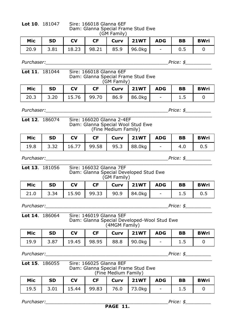**Lot 10**. 181047 Sire: 166018 Glanna 6EF Dam: Glanna Special Frame Stud Ewe (GM Family)

| Mic  | <b>SD</b>                            | <b>CV</b> |  | $CF$   Curv   21WT   ADG |                                | BB  | <b>BWri</b> |
|------|--------------------------------------|-----------|--|--------------------------|--------------------------------|-----|-------------|
| 20.9 | 3.81   18.23   98.21   85.9   96.0kg |           |  |                          | <b>Contract Contract State</b> | 0.5 |             |

*\_\_\_\_\_\_\_\_\_\_\_\_\_\_\_\_\_\_\_\_\_\_\_\_\_\_\_\_\_\_\_\_\_\_\_\_\_\_\_\_\_\_\_\_\_\_\_\_\_\_\_\_\_\_\_\_\_\_\_\_\_\_\_\_\_\_\_*

*Purchaser:*<br> $\blacksquare$ 

## **Lot 11**. 181044 Sire: 166018 Glanna 6EF Dam: Glanna Special Frame Stud Ewe (GM Family)

| Mic  | <b>SD</b> | <b>CV</b> | <b>CF</b> | $Curv$ 21WT $\vert$                  | <b>ADG</b>     | BB | <b>BWri</b> |
|------|-----------|-----------|-----------|--------------------------------------|----------------|----|-------------|
| 20.3 |           |           |           | 3.20   15.76   99.70   86.9   86.0kg | $\sim$ 10 $\,$ |    |             |

*Purchaser:\_\_\_\_\_\_\_\_\_\_\_\_\_\_\_\_\_\_\_\_\_\_\_\_\_\_\_\_\_\_\_\_\_\_\_\_\_\_\_\_\_\_\_Price: \$\_\_\_\_\_\_\_\_\_*

**Lot 12.** 186074

*\_\_\_\_\_\_\_\_\_\_\_\_\_\_\_\_\_\_\_\_\_\_\_\_\_\_\_\_\_\_\_\_\_\_\_\_\_\_\_\_\_\_\_\_\_\_\_\_\_\_\_\_\_\_\_\_\_\_\_\_\_\_\_\_\_\_\_*

| . 186074 | Sire: 166020 Glanna 2-4EF         |
|----------|-----------------------------------|
|          | Dam: Glanna Special Wool Stud Ewe |
|          | (Fine Medium Family)              |

| Mic SD |  | CV   CF   Curv   21WT   ADG   BB   BWri |         |  |
|--------|--|-----------------------------------------|---------|--|
|        |  | 19.8 3.32 16.77 99.58 95.3 88.0kg       | 4.0 0.5 |  |

*\_\_\_\_\_\_\_\_\_\_\_\_\_\_\_\_\_\_\_\_\_\_\_\_\_\_\_\_\_\_\_\_\_\_\_\_\_\_\_\_\_\_\_\_\_\_\_\_\_\_\_\_\_\_\_\_\_\_\_\_\_\_\_\_\_\_\_*

*Purchaser:\_\_\_\_\_\_\_\_\_\_\_\_\_\_\_\_\_\_\_\_\_\_\_\_\_\_\_\_\_\_\_\_\_\_\_\_\_\_\_\_\_\_\_Price: \$\_\_\_\_\_\_\_\_\_*

**Lot 13**. 181056 Sire: 166032 Glanna 7EF Dam: Glanna Special Developed Stud Ewe (GM Family)

| Mic | <b>SD</b> | <b>CV</b> |  | CF   Curv   21WT   ADG   BB       |     | <b>BWri</b> |
|-----|-----------|-----------|--|-----------------------------------|-----|-------------|
|     |           |           |  | 21.0 3.34 15.90 99.33 90.9 84.0kg | 1.5 | 0.5         |

*Purchaser:\_\_\_\_\_\_\_\_\_\_\_\_\_\_\_\_\_\_\_\_\_\_\_\_\_\_\_\_\_\_\_\_\_\_\_\_\_\_\_\_\_\_\_Price: \$\_\_\_\_\_\_\_\_\_*

|                                      | (4MGM Family) |     |           |             |
|--------------------------------------|---------------|-----|-----------|-------------|
| Mic<br><b>CV</b><br><b>SD</b><br>CF. | Curv   $21WT$ | ADG | <b>BB</b> | <b>BWri</b> |

*Purchaser:*<br> $\blacksquare$ 

### *\_\_\_\_\_\_\_\_\_\_\_\_\_\_\_\_\_\_\_\_\_\_\_\_\_\_\_\_\_\_\_\_\_\_\_\_\_\_\_\_\_\_\_\_\_\_\_\_\_\_\_\_\_\_\_\_\_\_\_\_\_\_\_\_\_\_\_* **Lot 15**. 186055 Sire: 166025 Glanna 8EF Dam: Glanna Special Frame Stud Ewe (Fine Medium Family)

| Mic | $\vert$ SD | <b>CV</b> |  |                                         |  | <b>BWri</b> |
|-----|------------|-----------|--|-----------------------------------------|--|-------------|
|     |            |           |  | 19.5 3.01 15.44 99.83 76.0 73.0kg - 1.5 |  |             |

19.9  $3.87$  | 19.45 | 98.95 | 88.8 | 90.0kg | - | 1.5 | 0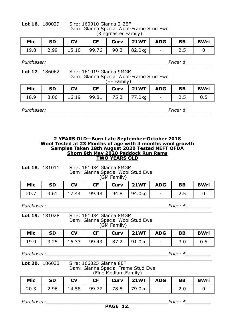| Lot 16. | 180029 |
|---------|--------|
|---------|--------|

**Lot 16**. 180029 Sire: 160010 Glanna 2-2EF Dam: Glanna Special Wool-Frame Stud Ewe (Ringmaster Family)

| Mic | <b>SD</b> | <b>CV</b> |  | CF Curv 21WT ADG BB               |                                                                               | <b>BWri</b> |
|-----|-----------|-----------|--|-----------------------------------|-------------------------------------------------------------------------------|-------------|
|     |           |           |  | 19.8 2.99 15.10 99.76 90.3 82.0kg | $\begin{array}{ c c c c c } \hline \quad & - & \quad \quad & 2.5 \end{array}$ |             |

*Purchaser:*<br> $\blacksquare$ 

| <b>Lot 17.</b> 186062 | Sire: 161019 Glanna 9MGM                |
|-----------------------|-----------------------------------------|
|                       | Dam: Glanna Special Wool-Frame Stud Ewe |
|                       | (EF Family)                             |

| Mic | -SD | <b>CV</b> |  | $CF$ $Curv$ $21WT$ $ADG$          | BB | <b>BWri</b> |
|-----|-----|-----------|--|-----------------------------------|----|-------------|
|     |     |           |  | 18.9 3.06 16.19 99.81 75.3 77.0kg |    | 0.5         |

*\_\_\_\_\_\_\_\_\_\_\_\_\_\_\_\_\_\_\_\_\_\_\_\_\_\_\_\_\_\_\_\_\_\_\_\_\_\_\_\_\_\_\_\_\_\_\_\_\_\_\_\_\_\_\_\_\_\_\_\_\_\_\_\_\_\_\_*

*Purchaser:\_\_\_\_\_\_\_\_\_\_\_\_\_\_\_\_\_\_\_\_\_\_\_\_\_\_\_\_\_\_\_\_\_\_\_\_\_\_\_\_\_\_\_Price: \$\_\_\_\_\_\_\_\_\_*

## **2 YEARS OLD—Born Late September-October 2018 Wool Tested at 23 Months of age with 4 months wool growth Samples Taken 28th August 2020 Tested NEFT OFDA Shorn 8th May 2020 Paddock Run Rams TWO YEARS OLD**

**Lot 18**. 181011 Sire: 161034 Glanna 8MGM Dam: Glanna Special Wool Stud Ewe (GM Family)

| Mic  | <b>SD</b> | <b>CV</b> | <b>CF</b> | Curv | 21WT   ADG |                          | BB    | <b>BWri</b> |
|------|-----------|-----------|-----------|------|------------|--------------------------|-------|-------------|
| 20.7 |           |           |           |      |            | <b>Contract Contract</b> | ر . د |             |

*Purchaser:\_\_\_\_\_\_\_\_\_\_\_\_\_\_\_\_\_\_\_\_\_\_\_\_\_\_\_\_\_\_\_\_\_\_\_\_\_\_\_\_\_\_\_Price: \$\_\_\_\_\_\_\_\_\_*

## *\_\_\_\_\_\_\_\_\_\_\_\_\_\_\_\_\_\_\_\_\_\_\_\_\_\_\_\_\_\_\_\_\_\_\_\_\_\_\_\_\_\_\_\_\_\_\_\_\_\_\_\_\_\_\_\_\_\_\_\_\_\_\_\_\_\_\_* **Lot 19**. 181028 Sire: 161034 Glanna 8MGM Dam: Glanna Special Wool Stud Ewe (GM Family)

| Mic | l SD | $\overline{\phantom{a}}$ $\overline{\phantom{a}}$ $\overline{\phantom{a}}$ $\overline{\phantom{a}}$ $\overline{\phantom{a}}$ $\overline{\phantom{a}}$ $\overline{\phantom{a}}$ $\overline{\phantom{a}}$ $\overline{\phantom{a}}$ $\overline{\phantom{a}}$ $\overline{\phantom{a}}$ $\overline{\phantom{a}}$ $\overline{\phantom{a}}$ $\overline{\phantom{a}}$ $\overline{\phantom{a}}$ $\overline{\phantom{a}}$ $\overline{\phantom{a}}$ $\overline{\phantom{a}}$ $\overline{\$ |  | $CF$   Curv   21WT   ADG   BB     |                |     | <b>BWri</b> |
|-----|------|---------------------------------------------------------------------------------------------------------------------------------------------------------------------------------------------------------------------------------------------------------------------------------------------------------------------------------------------------------------------------------------------------------------------------------------------------------------------------------|--|-----------------------------------|----------------|-----|-------------|
|     |      |                                                                                                                                                                                                                                                                                                                                                                                                                                                                                 |  | 19.9 3.25 16.33 99.43 87.2 91.0kg | 어머니는 그 사람들이 어디 | 3.0 | 0.5         |

*Purchaser:\_\_\_\_\_\_\_\_\_\_\_\_\_\_\_\_\_\_\_\_\_\_\_\_\_\_\_\_\_\_\_\_\_\_\_\_\_\_\_\_\_\_\_Price: \$\_\_\_\_\_\_\_\_\_*

### *\_\_\_\_\_\_\_\_\_\_\_\_\_\_\_\_\_\_\_\_\_\_\_\_\_\_\_\_\_\_\_\_\_\_\_\_\_\_\_\_\_\_\_\_\_\_\_\_\_\_\_\_\_\_\_\_\_\_\_\_\_\_\_\_\_\_\_* **Lot 20**. 186033 Sire: 166025 Glanna 8EF Dam: Glanna Special Frame Stud Ewe (Fine Medium Family)

| Mic  | SD | <b>CV</b> |  | $CF$ $Curv$ $21WT$ $ADG$             |                          | BB  | <b>BWri</b> |
|------|----|-----------|--|--------------------------------------|--------------------------|-----|-------------|
| 20.3 |    |           |  | 2.96   14.58   99.77   78.8   79.0kg | <b>Contract Contract</b> | 2.0 |             |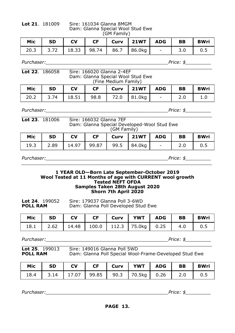## **Lot 21**. 181009 Sire: 161034 Glanna 8MGM Dam: Glanna Special Wool Stud Ewe (GM Family)

| Mic SD CV |  | CF   Curv   21WT   ADG   BB   BWri          |  |  |
|-----------|--|---------------------------------------------|--|--|
|           |  | 20.3 3.72 18.33 98.74 86.7 86.0kg - 3.0 0.5 |  |  |

*\_\_\_\_\_\_\_\_\_\_\_\_\_\_\_\_\_\_\_\_\_\_\_\_\_\_\_\_\_\_\_\_\_\_\_\_\_\_\_\_\_\_\_\_\_\_\_\_\_\_\_\_\_\_\_\_\_\_\_\_\_\_\_\_\_\_\_*

*Purchaser:\_\_\_\_\_\_\_\_\_\_\_\_\_\_\_\_\_\_\_\_\_\_\_\_\_\_\_\_\_\_\_\_\_\_\_\_\_\_\_\_\_\_\_Price: \$\_\_\_\_\_\_\_\_\_*

## **Lot 22**. 186058 Sire: 166020 Glanna 2-4EF Dam: Glanna Special Wool Stud Ewe (Fine Medium Family)

| Mic  | <b>SD</b>                           | <b>CV</b> | <b>CF</b> | Curv 21WT ADG L | BB | <b>BWri</b> |
|------|-------------------------------------|-----------|-----------|-----------------|----|-------------|
| 20.2 | 3.74   18.51   98.8   72.0   81.0kg |           |           |                 |    |             |

*Purchaser:\_\_\_\_\_\_\_\_\_\_\_\_\_\_\_\_\_\_\_\_\_\_\_\_\_\_\_\_\_\_\_\_\_\_\_\_\_\_\_\_\_\_\_Price: \$\_\_\_\_\_\_\_\_\_*

| <b>Lot 23.</b> 181006 | Sire: 166032 Glanna 7EF                     |
|-----------------------|---------------------------------------------|
|                       | Dam: Glanna Special Developed-Wool Stud Ewe |
|                       | (GM Family)                                 |

| Mic  | SD | <b>CV</b> |  | $CF$ $Curv$ $21WT$ $ADG$             |                      | <b>BB</b> | <b>BWri</b> |
|------|----|-----------|--|--------------------------------------|----------------------|-----------|-------------|
| 19.3 |    |           |  | 2.89   14.97   99.87   99.5   84.0kg | where the company of | 2.0       | 0.5         |

*Purchaser:\_\_\_\_\_\_\_\_\_\_\_\_\_\_\_\_\_\_\_\_\_\_\_\_\_\_\_\_\_\_\_\_\_\_\_\_\_\_\_\_\_\_\_Price: \$\_\_\_\_\_\_\_\_\_*

## **1 YEAR OLD—Born Late September-October 2019 Wool Tested at 11 Months of age with CURRENT wool growth Tested NEFT OFDA Samples Taken 28th August 2020 Shorn 7th April 2020**

*\_\_\_\_\_\_\_\_\_\_\_\_\_\_\_\_\_\_\_\_\_\_\_\_\_\_\_\_\_\_\_\_\_\_\_\_\_\_\_\_\_\_\_\_\_\_\_\_\_\_\_\_\_\_\_\_\_\_\_\_\_\_\_\_\_\_\_*

| <b>Lot 24.</b> $199052$ | Sire: 179037 Glanna Poll 3-6WD      |
|-------------------------|-------------------------------------|
| <b>POLL RAM</b>         | Dam: Glanna Poll Developed Stud Ewe |

| Mic | $\overline{\phantom{a}}$ SD | $\overline{\phantom{a}}$ CV |  | CF   Curv   YWT   ADG   BB                                      |  | <b>BWri</b> |
|-----|-----------------------------|-----------------------------|--|-----------------------------------------------------------------|--|-------------|
|     |                             |                             |  | 18.1   2.62   14.48   100.0   112.3   75.0kg   0.25   4.0   0.5 |  |             |

*Purchaser:\_\_\_\_\_\_\_\_\_\_\_\_\_\_\_\_\_\_\_\_\_\_\_\_\_\_\_\_\_\_\_\_\_\_\_\_\_\_\_\_\_\_\_Price: \$\_\_\_\_\_\_\_\_\_*

# *Lot 25.* 199013<br> **POLL RAM**

**Lot 25**. 199013 Sire: 149016 Glanna Poll 5WD Dam: Glanna Poll Special Wool-Frame-Developed Stud Ewe

| Mic  | SD | $\overline{\phantom{a}}$ CV |  | CF   Curv   YWT   ADG | <b>BB</b> | <b>BWri</b> |
|------|----|-----------------------------|--|-----------------------|-----------|-------------|
| 18.4 |    |                             |  |                       |           | 0.5         |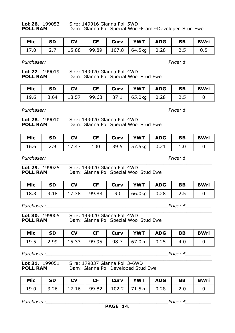Lot 26. 199053 Sire: 149016 Glanna Poll 5WD<br>**POLL RAM** Dam: Glanna Poll Special Wool **Pam: Glanna Poll Special Wool-Frame-Developed Stud Ewe** 

| Mic  | <b>SD</b>   | <b>CV</b> |  | CF   Curv   YWT   ADG   BB                  |  | BWri |
|------|-------------|-----------|--|---------------------------------------------|--|------|
| 17.0 | $\vert$ 2.7 |           |  | 15.88   99.89   107.8   64.5kg   0.28   2.5 |  | 0.5  |

*Purchaser:*<br> $\blacksquare$ 

| <b>Lot 27.</b> 199019 | Sire: 149020 Glanna Poll 4WD           |
|-----------------------|----------------------------------------|
| <b>POLL RAM</b>       | Dam: Glanna Poll Special Wool Stud Ewe |

| Mic  | <b>SD</b> | <b>CV</b> |  | CF   Curv   YWT   ADG                               | BB | <b>BWri</b> |
|------|-----------|-----------|--|-----------------------------------------------------|----|-------------|
| 19.6 |           |           |  | $3.64$   18.57   99.63   87.1   65.0kg   0.28   2.5 |    |             |

*Purchaser:\_\_\_\_\_\_\_\_\_\_\_\_\_\_\_\_\_\_\_\_\_\_\_\_\_\_\_\_\_\_\_\_\_\_\_\_\_\_\_\_\_\_\_Price: \$\_\_\_\_\_\_\_\_\_*

| <b>Lot 28.</b> $199010$ | Sire: 149020 Glanna Poll 4WD           |
|-------------------------|----------------------------------------|
| <b>POLL RAM</b>         | Dam: Glanna Poll Special Wool Stud Ewe |

**Lot 28**. 199010 Sire: 149020 Glanna Poll 4WD Dam: Glanna Poll Special Wool Stud Ewe

| Mic  | <b>SD</b> | <b>CV</b> | <b>CF</b> | Curv   YWT   ADG     | <b>BB</b> | <b>BWri</b> |
|------|-----------|-----------|-----------|----------------------|-----------|-------------|
| 16.6 | 2.9       | 17.47     |           | 100 89.5 57.5kg 0.21 |           |             |

*Purchaser:\_\_\_\_\_\_\_\_\_\_\_\_\_\_\_\_\_\_\_\_\_\_\_\_\_\_\_\_\_\_\_\_\_\_\_\_\_\_\_\_\_\_\_Price: \$\_\_\_\_\_\_\_\_\_*

*\_\_\_\_\_\_\_\_\_\_\_\_\_\_\_\_\_\_\_\_\_\_\_\_\_\_\_\_\_\_\_\_\_\_\_\_\_\_\_\_\_\_\_\_\_\_\_\_\_\_\_\_\_\_\_\_\_\_\_\_\_\_\_\_\_\_\_* **Lot 29**. 199025 Sire: 149020 Glanna Poll 4WD **POLL RAM** Dam: Glanna Poll Special Wool Stud Ewe

| Mic | <b>SD</b> | <b>CV</b>     | <b>CF</b> | Curv | YWT l             | ADG | BB | <b>BWri</b> |
|-----|-----------|---------------|-----------|------|-------------------|-----|----|-------------|
|     | 18.3 3.18 | $17.38$ 99.88 |           | 90   | $66.0kg$ 0.28 2.5 |     |    |             |

Purchaser:

*\_\_\_\_\_\_\_\_\_\_\_\_\_\_\_\_\_\_\_\_\_\_\_\_\_\_\_\_\_\_\_\_\_\_\_\_\_\_\_\_\_\_\_\_\_\_\_\_\_\_\_\_\_\_\_\_\_\_\_\_\_\_\_\_\_\_\_* **Lot 30**. 199005 Sire: 149020 Glanna Poll 4WD **POLL RAM** Dam: Glanna Poll Special Wool Stud Ewe

| Mic | <b>SD</b> | <b>CV</b> | $CF$ | Curv I |                                        | YWT   ADG | BB   | <b>BWri</b> |
|-----|-----------|-----------|------|--------|----------------------------------------|-----------|------|-------------|
|     |           |           |      |        | 19.5 2.99 15.33 99.95 98.7 67.0kg 0.25 |           | -4.0 |             |

*Purchaser:\_\_\_\_\_\_\_\_\_\_\_\_\_\_\_\_\_\_\_\_\_\_\_\_\_\_\_\_\_\_\_\_\_\_\_\_\_\_\_\_\_\_\_Price: \$\_\_\_\_\_\_\_\_\_*

*\_\_\_\_\_\_\_\_\_\_\_\_\_\_\_\_\_\_\_\_\_\_\_\_\_\_\_\_\_\_\_\_\_\_\_\_\_\_\_\_\_\_\_\_\_\_\_\_\_\_\_\_\_\_\_\_\_\_\_\_\_\_\_\_\_\_\_* **Lot 31**. 199051 Sire: 179037 Glanna Poll 3-6WD **POLL RAM** Dam: Glanna Poll Developed Stud Ewe

| Mic SD |  |  | CV   CF   Curv   YWT   ADG   BB             |  | <b>BWri</b> |
|--------|--|--|---------------------------------------------|--|-------------|
|        |  |  | 19.0 3.26 17.16 99.82 102.2 71.5kg 0.28 2.0 |  |             |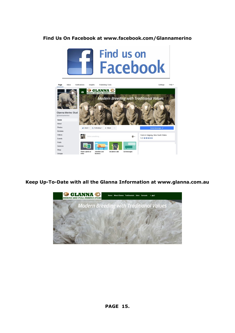## **Find Us On Facebook at www.facebook.com/Glannamerino**





## **Keep Up-To-Date with all the Glanna Information at www.glanna.com.au**

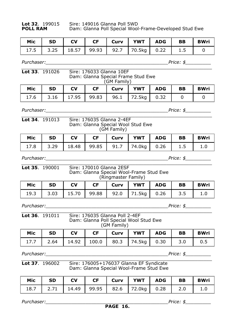| it 32. 199015 | Sire: 1490 |
|---------------|------------|
| )II RAM       | Dam: Glar  |

**Lot 32**. 199015 Sire: 149016 Glanna Poll 5WD **POLL RAM** Dam: Glanna Poll Special Wool-Frame-Developed Stud Ewe

| Mic | l SD | <b>CV</b> |  | CF   Curv   YWT   ADG   BB                 |  | BWri |
|-----|------|-----------|--|--------------------------------------------|--|------|
|     |      |           |  | 17.5 3.25 18.57 99.93 92.7 70.5kg 0.22 1.5 |  |      |

*Purchaser:*<br> $\blacksquare$ 

*\_\_\_\_\_\_\_\_\_\_\_\_\_\_\_\_\_\_\_\_\_\_\_\_\_\_\_\_\_\_\_\_\_\_\_\_\_\_\_\_\_\_\_\_\_\_\_\_\_\_\_\_\_\_\_\_\_\_\_\_\_\_\_\_\_\_\_*

| Lot 33. 191026 | Sire: 176033 Glanna 10EF<br>Dam: Glanna Special Frame Stud Ewe | (GM Family) |  |
|----------------|----------------------------------------------------------------|-------------|--|
|                |                                                                |             |  |

| Mic | <b>SD</b> | <b>CV</b> |  | CF   Curv   YWT   ADG   BB             |  | <b>BWri</b> |
|-----|-----------|-----------|--|----------------------------------------|--|-------------|
|     |           |           |  | 17.6 3.16 17.95 99.83 96.1 72.5kg 0.32 |  |             |

*Purchaser:\_\_\_\_\_\_\_\_\_\_\_\_\_\_\_\_\_\_\_\_\_\_\_\_\_\_\_\_\_\_\_\_\_\_\_\_\_\_\_\_\_\_\_Price: \$\_\_\_\_\_\_\_\_\_*

| <b>Lot 34.</b> $191013$ | Sire: 176035 Glanna 2-4EF         |
|-------------------------|-----------------------------------|
|                         | Dam: Glanna Special Wool Stud Ewe |
|                         | (GM Family)                       |

|  |  | Mic   SD   CV   CF   Curv   YWT   ADG   BB   BWri |  |  |
|--|--|---------------------------------------------------|--|--|
|  |  | $17.8$ 3.29 18.48 99.85 91.7 74.0kg 0.26 1.5 1.0  |  |  |

*Purchaser:\_\_\_\_\_\_\_\_\_\_\_\_\_\_\_\_\_\_\_\_\_\_\_\_\_\_\_\_\_\_\_\_\_\_\_\_\_\_\_\_\_\_\_Price: \$\_\_\_\_\_\_\_\_\_*

| <b>Lot 35.</b> 190001 | Sire: 170010 Glanna 2ESF                |
|-----------------------|-----------------------------------------|
|                       | Dam: Glanna Special Wool-Frame Stud Ewe |
|                       | (Ringmaster Family)                     |

| Mic | <b>SD</b> | <b>CV</b> |  | CF   Curv   YWT   ADG                      | <b>BB</b> | <b>BWri</b> |
|-----|-----------|-----------|--|--------------------------------------------|-----------|-------------|
|     |           |           |  | 19.3 3.03 15.70 99.88 92.0 71.5kg 0.26 3.5 |           |             |

*Purchaser:\_\_\_\_\_\_\_\_\_\_\_\_\_\_\_\_\_\_\_\_\_\_\_\_\_\_\_\_\_\_\_\_\_\_\_\_\_\_\_\_\_\_\_Price: \$\_\_\_\_\_\_\_\_\_*

*\_\_\_\_\_\_\_\_\_\_\_\_\_\_\_\_\_\_\_\_\_\_\_\_\_\_\_\_\_\_\_\_\_\_\_\_\_\_\_\_\_\_\_\_\_\_\_\_\_\_\_\_\_\_\_\_\_\_\_\_\_\_\_\_\_\_\_* **Lot 36**. 191011 Sire: 176035 Glanna Poll 2-4EF Dam: Glanna Poll Special Wool Stud Ewe (GM Family)

| Mic | <b>SD</b> | $\overline{\mathsf{C}}$ |  | CF   Curv   YWT   ADG   BB                               |  | <b>BWri</b> |
|-----|-----------|-------------------------|--|----------------------------------------------------------|--|-------------|
|     |           |                         |  | 17.7   2.64   14.92   100.0   80.3   74.5kg   0.30   3.0 |  | 0.5         |

*Purchaser:\_\_\_\_\_\_\_\_\_\_\_\_\_\_\_\_\_\_\_\_\_\_\_\_\_\_\_\_\_\_\_\_\_\_\_\_\_\_\_\_\_\_\_Price: \$\_\_\_\_\_\_\_\_\_*

*\_\_\_\_\_\_\_\_\_\_\_\_\_\_\_\_\_\_\_\_\_\_\_\_\_\_\_\_\_\_\_\_\_\_\_\_\_\_\_\_\_\_\_\_\_\_\_\_\_\_\_\_\_\_\_\_\_\_\_\_\_\_\_\_\_\_\_* **Lot 37**. 196002 Sire: 176005+176037 Glanna EF Syndicate Dam: Glanna Special Wool-Frame Stud Ewe

| Mic | <b>SD</b> | $\overline{\phantom{a}}$ CV |  | CF Curv   YWT   ADG   BB                                 |  | <b>BWri</b> |
|-----|-----------|-----------------------------|--|----------------------------------------------------------|--|-------------|
|     |           |                             |  | 18.7   2.71   14.49   99.95   82.6   72.0kg   0.28   2.0 |  |             |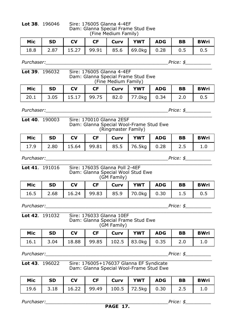| <b>Lot 38.</b> $196046$ | Sire: 176005 Glanna 4-4EF<br>Dam: Glanna Special Frame Stud Ewe |
|-------------------------|-----------------------------------------------------------------|
|                         | (Fine Medium Family)                                            |
|                         |                                                                 |

| Mic  | ' SD | <b>CV</b> |  | CF   Curv   YWT   ADG   BB                            |  | <b>BWri</b> |
|------|------|-----------|--|-------------------------------------------------------|--|-------------|
| 18.8 |      |           |  | 2.87   15.27   99.91   85.6   69.0kg   0.28   0.5 $'$ |  |             |

*\_\_\_\_\_\_\_\_\_\_\_\_\_\_\_\_\_\_\_\_\_\_\_\_\_\_\_\_\_\_\_\_\_\_\_\_\_\_\_\_\_\_\_\_\_\_\_\_\_\_\_\_\_\_\_\_\_\_\_\_\_\_\_\_\_\_\_*

*Purchaser:*<br> $\blacksquare$ 

## **Lot 39**. 196032 Sire: 176005 Glanna 4-4EF Dam: Glanna Special Frame Stud Ewe (Fine Medium Family)

| Mic SD | <b>CV</b> |  | CF   Curv   YWT   ADG   BB                 |  | <b>BWri</b> |
|--------|-----------|--|--------------------------------------------|--|-------------|
|        |           |  | 20.1 3.05 15.17 99.75 82.0 77.0kg 0.34 2.0 |  | 0.5         |

*Purchaser:\_\_\_\_\_\_\_\_\_\_\_\_\_\_\_\_\_\_\_\_\_\_\_\_\_\_\_\_\_\_\_\_\_\_\_\_\_\_\_\_\_\_\_Price: \$\_\_\_\_\_\_\_\_\_*

## *\_\_\_\_\_\_\_\_\_\_\_\_\_\_\_\_\_\_\_\_\_\_\_\_\_\_\_\_\_\_\_\_\_\_\_\_\_\_\_\_\_\_\_\_\_\_\_\_\_\_\_\_\_\_\_\_\_\_\_\_\_\_\_\_\_\_\_* **Lot 40**. 190003 Sire: 170010 Glanna 2ESF Dam: Glanna Special Wool-Frame Stud Ewe (Ringmaster Family)

|  |  | Mic   SD   CV   CF   Curv   YWT   ADG   BB   BWri |  |  |
|--|--|---------------------------------------------------|--|--|
|  |  | $17.9$ 2.80 15.64 99.81 85.5 76.5kg 0.28 2.5 1.0  |  |  |

*Purchaser:\_\_\_\_\_\_\_\_\_\_\_\_\_\_\_\_\_\_\_\_\_\_\_\_\_\_\_\_\_\_\_\_\_\_\_\_\_\_\_\_\_\_\_Price: \$\_\_\_\_\_\_\_\_\_*

### *\_\_\_\_\_\_\_\_\_\_\_\_\_\_\_\_\_\_\_\_\_\_\_\_\_\_\_\_\_\_\_\_\_\_\_\_\_\_\_\_\_\_\_\_\_\_\_\_\_\_\_\_\_\_\_\_\_\_\_\_\_\_\_\_\_\_\_* **Lot 41**. 191016 Sire: 176035 Glanna Poll 2-4EF Dam: Glanna Special Wool Stud Ewe (GM Family)

| Mic | <b>SD</b> | <b>CV</b> | $CF$ | Curv | YWT   ADG                                  |  | <b>BB</b> | <b>BWri</b> |  |  |
|-----|-----------|-----------|------|------|--------------------------------------------|--|-----------|-------------|--|--|
|     |           |           |      |      | 16.5 2.68 16.24 99.83 85.9 70.0kg 0.30 1.5 |  |           | 0.5         |  |  |

*Purchaser:\_\_\_\_\_\_\_\_\_\_\_\_\_\_\_\_\_\_\_\_\_\_\_\_\_\_\_\_\_\_\_\_\_\_\_\_\_\_\_\_\_\_\_Price: \$\_\_\_\_\_\_\_\_\_*

### *\_\_\_\_\_\_\_\_\_\_\_\_\_\_\_\_\_\_\_\_\_\_\_\_\_\_\_\_\_\_\_\_\_\_\_\_\_\_\_\_\_\_\_\_\_\_\_\_\_\_\_\_\_\_\_\_\_\_\_\_\_\_\_\_\_\_\_* **Lot 42**. 191032 Sire: 176033 Glanna 10EF Dam: Glanna Special Frame Stud Ewe (GM Family)

|  |  | Mic   SD   CV   CF   Curv   YWT   ADG   BB   BWri               |  |  |
|--|--|-----------------------------------------------------------------|--|--|
|  |  | 16.1   3.04   18.88   99.85   102.5   83.0kg   0.35   2.0   1.0 |  |  |

*Purchaser:\_\_\_\_\_\_\_\_\_\_\_\_\_\_\_\_\_\_\_\_\_\_\_\_\_\_\_\_\_\_\_\_\_\_\_\_\_\_\_\_\_\_\_Price: \$\_\_\_\_\_\_\_\_\_*

### *\_\_\_\_\_\_\_\_\_\_\_\_\_\_\_\_\_\_\_\_\_\_\_\_\_\_\_\_\_\_\_\_\_\_\_\_\_\_\_\_\_\_\_\_\_\_\_\_\_\_\_\_\_\_\_\_\_\_\_\_\_\_\_\_\_\_\_* **Lot 43**. 196022 Sire: 176005+176037 Glanna EF Syndicate Dam: Glanna Special Wool-Frame Stud Ewe

|  |  | Mic   SD   CV   CF   Curv   YWT   ADG   BB   BWri               |  |  |
|--|--|-----------------------------------------------------------------|--|--|
|  |  | 19.6   3.18   16.22   99.49   100.5   72.5kg   0.30   2.5   1.0 |  |  |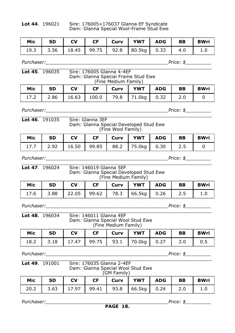## **Lot 44**. 196021 Sire: 176005+176037 Glanna EF Syndicate Dam: Glanna Special Wool-Frame Stud Ewe

|  |  | Mic SD CV CF Curv YWT ADG BB BWri |  |  |
|--|--|-----------------------------------|--|--|
|  |  |                                   |  |  |

*\_\_\_\_\_\_\_\_\_\_\_\_\_\_\_\_\_\_\_\_\_\_\_\_\_\_\_\_\_\_\_\_\_\_\_\_\_\_\_\_\_\_\_\_\_\_\_\_\_\_\_\_\_\_\_\_\_\_\_\_\_\_\_\_\_\_\_*

*Purchaser:*<br> $\blacksquare$ 

### **Lot 45**. 196035 Sire: 176005 Glanna 4-4EF Dam: Glanna Special Frame Stud Ewe (Fine Medium Family)

| Mic | SD | l CV | CF | Curv |                                                          | YWT   ADG | <b>BB</b> | <b>BWri</b> |
|-----|----|------|----|------|----------------------------------------------------------|-----------|-----------|-------------|
|     |    |      |    |      | 17.2   2.86   16.63   100.0   79.8   71.0kg   0.32   2.0 |           |           |             |

*Purchaser:\_\_\_\_\_\_\_\_\_\_\_\_\_\_\_\_\_\_\_\_\_\_\_\_\_\_\_\_\_\_\_\_\_\_\_\_\_\_\_\_\_\_\_Price: \$\_\_\_\_\_\_\_\_\_ \_\_\_\_\_\_\_\_\_\_\_\_\_\_\_\_\_\_\_\_\_\_\_\_\_\_\_\_\_\_\_\_\_\_\_\_\_\_\_\_\_\_\_\_\_\_\_\_\_\_\_\_\_\_\_\_\_\_\_\_\_\_\_\_\_\_\_*

## **Lot 46**. 191035 Sire: Glanna 3EF Dam: Glanna Special Developed Stud Ewe (Fine Wool Family)

|  |  | Mic   SD   CV   CF   Curv   YWT   ADG   BB   BWri |  |  |
|--|--|---------------------------------------------------|--|--|
|  |  | 17.7 2.92 16.50 99.85 88.2 75.0kg 0.30 2.5        |  |  |

*Purchaser:\_\_\_\_\_\_\_\_\_\_\_\_\_\_\_\_\_\_\_\_\_\_\_\_\_\_\_\_\_\_\_\_\_\_\_\_\_\_\_\_\_\_\_Price: \$\_\_\_\_\_\_\_\_\_*

| <b>Lot 47.</b> $196024$ | Sire: 146019 Glanna 5EF                |
|-------------------------|----------------------------------------|
|                         | Dam: Glanna Special Developed Stud Ewe |
|                         | (Fine Medium Family)                   |

| Mic SD | $\overline{\phantom{a}}$ $\overline{\phantom{a}}$ $\overline{\phantom{a}}$ $\overline{\phantom{a}}$ $\overline{\phantom{a}}$ $\overline{\phantom{a}}$ $\overline{\phantom{a}}$ $\overline{\phantom{a}}$ $\overline{\phantom{a}}$ $\overline{\phantom{a}}$ $\overline{\phantom{a}}$ $\overline{\phantom{a}}$ $\overline{\phantom{a}}$ $\overline{\phantom{a}}$ $\overline{\phantom{a}}$ $\overline{\phantom{a}}$ $\overline{\phantom{a}}$ $\overline{\phantom{a}}$ $\overline{\$ |  | CF   Curv   YWT   ADG   BB                     |  | <b>BWri</b> |
|--------|---------------------------------------------------------------------------------------------------------------------------------------------------------------------------------------------------------------------------------------------------------------------------------------------------------------------------------------------------------------------------------------------------------------------------------------------------------------------------------|--|------------------------------------------------|--|-------------|
|        |                                                                                                                                                                                                                                                                                                                                                                                                                                                                                 |  | 17.6 3.88 22.05 99.62 78.3 66.5kg 0.26 2.5 1.0 |  |             |

*Purchaser:\_\_\_\_\_\_\_\_\_\_\_\_\_\_\_\_\_\_\_\_\_\_\_\_\_\_\_\_\_\_\_\_\_\_\_\_\_\_\_\_\_\_\_Price: \$\_\_\_\_\_\_\_\_\_*

*\_\_\_\_\_\_\_\_\_\_\_\_\_\_\_\_\_\_\_\_\_\_\_\_\_\_\_\_\_\_\_\_\_\_\_\_\_\_\_\_\_\_\_\_\_\_\_\_\_\_\_\_\_\_\_\_\_\_\_\_\_\_\_\_\_\_\_* **Lot 48**. 196034 Sire: 146011 Glanna 4EF Dam: Glanna Special Wool Stud Ewe (Fine Medium Family)

|  |  | Mic   SD   CV   CF   Curv   YWT   ADG   BB   BWri |  |  |
|--|--|---------------------------------------------------|--|--|
|  |  |                                                   |  |  |

*Purchaser:\_\_\_\_\_\_\_\_\_\_\_\_\_\_\_\_\_\_\_\_\_\_\_\_\_\_\_\_\_\_\_\_\_\_\_\_\_\_\_\_\_\_\_Price: \$\_\_\_\_\_\_\_\_\_*

### *\_\_\_\_\_\_\_\_\_\_\_\_\_\_\_\_\_\_\_\_\_\_\_\_\_\_\_\_\_\_\_\_\_\_\_\_\_\_\_\_\_\_\_\_\_\_\_\_\_\_\_\_\_\_\_\_\_\_\_\_\_\_\_\_\_\_\_* Lot 49. 191001 Sire: 176035 Glanna 2-4EF Dam: Glanna Special Wool Stud Ewe (GM Family)

| Mic  | <b>SD</b> | C <sub>V</sub> | $CF$ | Curv   YWT   ADG | BB | <b>BWri</b> |
|------|-----------|----------------|------|------------------|----|-------------|
| 20.2 |           |                |      |                  |    |             |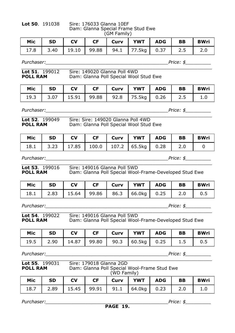**Lot 50**. 191038 Sire: 176033 Glanna 10EF Dam: Glanna Special Frame Stud Ewe (GM Family)

| Mic SD | <b>CV</b> |  | CF   Curv   YWT   ADG   BB                 |  | <b>BWri</b> |
|--------|-----------|--|--------------------------------------------|--|-------------|
|        |           |  | 17.8 3.40 19.10 99.88 94.1 77.5kg 0.37 2.5 |  |             |

| <b>Lot 51.</b> $199012$ | Sire: 149020 Glanna Poll 4WD           |
|-------------------------|----------------------------------------|
| <b>POLL RAM</b>         | Dam: Glanna Poll Special Wool Stud Ewe |

| Mic | <b>SD</b> | <b>CV</b> | <b>CF</b> | Curv | <b>I YWT I ADG</b>                     | <b>BB</b> | <b>BWri</b> |
|-----|-----------|-----------|-----------|------|----------------------------------------|-----------|-------------|
|     |           |           |           |      | 19.3 3.07 15.91 99.88 92.8 75.5kg 0.26 | 2.5       |             |

*Purchaser:\_\_\_\_\_\_\_\_\_\_\_\_\_\_\_\_\_\_\_\_\_\_\_\_\_\_\_\_\_\_\_\_\_\_\_\_\_\_\_\_\_\_\_Price: \$\_\_\_\_\_\_\_\_\_*

| <b>Lot 52.</b> $199049$ | Sire: Sire: 149020 Glanna Poll 4WD     |
|-------------------------|----------------------------------------|
| <b>POLL RAM</b>         | Dam: Glanna Poll Special Wool Stud Ewe |

Sire: Sire: 149020 Glanna Poll 4WD Dam: Glanna Poll Special Wool Stud Ewe

| Mic |  |  | SD CV CF Curv YWT ADG BB                    |  | BWri |
|-----|--|--|---------------------------------------------|--|------|
|     |  |  | 18.1 3.23 17.85 100.0 107.2 65.5kg 0.28 2.0 |  |      |

*\_\_\_\_\_\_\_\_\_\_\_\_\_\_\_\_\_\_\_\_\_\_\_\_\_\_\_\_\_\_\_\_\_\_\_\_\_\_\_\_\_\_\_\_\_\_\_\_\_\_\_\_\_\_\_\_\_\_\_\_\_\_\_\_\_\_\_*

*Purchaser:\_\_\_\_\_\_\_\_\_\_\_\_\_\_\_\_\_\_\_\_\_\_\_\_\_\_\_\_\_\_\_\_\_\_\_\_\_\_\_\_\_\_\_Price: \$\_\_\_\_\_\_\_\_\_*

**Lot 53**. 199016 Sire: 149016 Glanna Poll 5WD

**POLL RAM** Dam: Glanna Poll Special Wool-Frame-Developed Stud Ewe

| Mic | l SD |  | CV   CF   Curv   YWT   ADG   BB            |  | <b>BWri</b> |
|-----|------|--|--------------------------------------------|--|-------------|
|     |      |  | 18.1 2.83 15.64 99.86 86.3 66.0kg 0.25 2.0 |  | 0.5         |

*Purchaser:\_\_\_\_\_\_\_\_\_\_\_\_\_\_\_\_\_\_\_\_\_\_\_\_\_\_\_\_\_\_\_\_\_\_\_\_\_\_\_\_\_\_\_Price: \$\_\_\_\_\_\_\_\_\_*

| Lot 54. 199022  | Sire: 149016 Glanna Poll 5WD                           |
|-----------------|--------------------------------------------------------|
| <b>POLL RAM</b> | Dam: Glanna Poll Special Wool-Frame-Developed Stud Ewe |

|  |  | Mic   SD   CV   CF   Curv   YWT   ADG   BB   BWri              |  |  |
|--|--|----------------------------------------------------------------|--|--|
|  |  | 19.5   2.90   14.87   99.80   90.3   60.5kg   0.25   1.5   0.5 |  |  |

*Purchaser:\_\_\_\_\_\_\_\_\_\_\_\_\_\_\_\_\_\_\_\_\_\_\_\_\_\_\_\_\_\_\_\_\_\_\_\_\_\_\_\_\_\_\_Price: \$\_\_\_\_\_\_\_\_\_*

| <b>Lot 55</b> . 199031 | Sire: 179018 Glanna 2GD                      |
|------------------------|----------------------------------------------|
| POLL RAM               | Dam: Glanna Poll Special Wool-Frame Stud Ewe |
|                        | (WD Family)                                  |
|                        |                                              |

| Mic | <b>SD</b> | <b>CV</b> |  | CF   Curv   YWT   ADG   BB                 |  | <b>BWri</b> |
|-----|-----------|-----------|--|--------------------------------------------|--|-------------|
|     |           |           |  | 18.7 2.89 15.45 99.91 91.1 64.0kg 0.23 2.0 |  |             |

*Purchaser:\_\_\_\_\_\_\_\_\_\_\_\_\_\_\_\_\_\_\_\_\_\_\_\_\_\_\_\_\_\_\_\_\_\_\_\_\_\_\_\_\_\_\_Price: \$\_\_\_\_\_\_\_\_\_*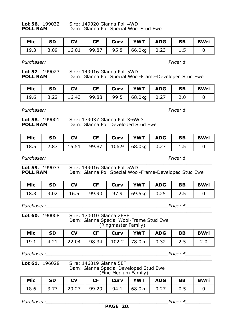**Lot 56**. 199032 Sire: 149020 Glanna Poll 4WD **POLL RAM** Dam: Glanna Poll Special Wool Stud Ewe

| Mic SD | <b>CV</b> |  | CF   Curv   YWT   ADG                      | BB | BWri |
|--------|-----------|--|--------------------------------------------|----|------|
|        |           |  | 19.3 3.09 16.01 99.87 95.8 66.0kg 0.23 1.5 |    |      |

*Purchaser:*<br> $\blacksquare$ 

| <b>Lot 57.</b> $199023$ | Sire: 149016 Glanna Poll 5WD                           |
|-------------------------|--------------------------------------------------------|
| <b>POLL RAM</b>         | Dam: Glanna Poll Special Wool-Frame-Developed Stud Ewe |

| Mic SD | <b>CV</b> |  | CF   Curv   YWT   ADG   BB                 |  | <b>BWri</b> |
|--------|-----------|--|--------------------------------------------|--|-------------|
|        |           |  | 19.6 3.22 16.43 99.88 99.5 68.0kg 0.27 2.0 |  |             |

*Purchaser:\_\_\_\_\_\_\_\_\_\_\_\_\_\_\_\_\_\_\_\_\_\_\_\_\_\_\_\_\_\_\_\_\_\_\_\_\_\_\_\_\_\_\_Price: \$\_\_\_\_\_\_\_\_\_*

| <b>Lot 58.</b> 199001 | Sire: 179037 Glanna Poll 3-6WD      |
|-----------------------|-------------------------------------|
| <b>POLL RAM</b>       | Dam: Glanna Poll Developed Stud Ewe |

**Lot 58**. 199001 Sire: 179037 Glanna Poll 3-6WD Dam: Glanna Poll Developed Stud Ewe

| Mic | <b>SD</b> | $\overline{\phantom{a}}$ $\overline{\phantom{a}}$ $\overline{\phantom{a}}$ $\overline{\phantom{a}}$ $\overline{\phantom{a}}$ $\overline{\phantom{a}}$ $\overline{\phantom{a}}$ $\overline{\phantom{a}}$ $\overline{\phantom{a}}$ $\overline{\phantom{a}}$ $\overline{\phantom{a}}$ $\overline{\phantom{a}}$ $\overline{\phantom{a}}$ $\overline{\phantom{a}}$ $\overline{\phantom{a}}$ $\overline{\phantom{a}}$ $\overline{\phantom{a}}$ $\overline{\phantom{a}}$ $\overline{\$ |  | CF   Curv   YWT   ADG   BB                                |  | <b>BWri</b> |
|-----|-----------|---------------------------------------------------------------------------------------------------------------------------------------------------------------------------------------------------------------------------------------------------------------------------------------------------------------------------------------------------------------------------------------------------------------------------------------------------------------------------------|--|-----------------------------------------------------------|--|-------------|
|     |           |                                                                                                                                                                                                                                                                                                                                                                                                                                                                                 |  | 18.5   2.87   15.51   99.87   106.9   68.0kg   0.27   1.5 |  |             |

*\_\_\_\_\_\_\_\_\_\_\_\_\_\_\_\_\_\_\_\_\_\_\_\_\_\_\_\_\_\_\_\_\_\_\_\_\_\_\_\_\_\_\_\_\_\_\_\_\_\_\_\_\_\_\_\_\_\_\_\_\_\_\_\_\_\_\_*

*Purchaser:\_\_\_\_\_\_\_\_\_\_\_\_\_\_\_\_\_\_\_\_\_\_\_\_\_\_\_\_\_\_\_\_\_\_\_\_\_\_\_\_\_\_\_Price: \$\_\_\_\_\_\_\_\_\_*

**Lot 59**. 199033 Sire: 149016 Glanna Poll 5WD

**POLL RAM** Dam: Glanna Poll Special Wool-Frame-Developed Stud Ewe

| Mic | l SD | l CV |  | CF   Curv   YWT   ADG   BB                |  | l BWri |
|-----|------|------|--|-------------------------------------------|--|--------|
|     |      |      |  | 18.3 3.02 16.5 99.90 97.9 69.5kg 0.25 2.5 |  |        |

*Purchaser:\_\_\_\_\_\_\_\_\_\_\_\_\_\_\_\_\_\_\_\_\_\_\_\_\_\_\_\_\_\_\_\_\_\_\_\_\_\_\_\_\_\_\_Price: \$\_\_\_\_\_\_\_\_\_*

| Lot 60, 190008 | Sire: 170010 Glanna 2ESF |  |                                         |                     |  |  |  |  |  |
|----------------|--------------------------|--|-----------------------------------------|---------------------|--|--|--|--|--|
|                |                          |  | Dam: Glanna Special Wool-Frame Stud Ewe | (Ringmaster Family) |  |  |  |  |  |
|                |                          |  |                                         |                     |  |  |  |  |  |

| Mic | SD SD | $\overline{\phantom{a}}$ $\overline{\phantom{a}}$ $\overline{\phantom{a}}$ $\overline{\phantom{a}}$ $\overline{\phantom{a}}$ $\overline{\phantom{a}}$ $\overline{\phantom{a}}$ $\overline{\phantom{a}}$ $\overline{\phantom{a}}$ $\overline{\phantom{a}}$ $\overline{\phantom{a}}$ $\overline{\phantom{a}}$ $\overline{\phantom{a}}$ $\overline{\phantom{a}}$ $\overline{\phantom{a}}$ $\overline{\phantom{a}}$ $\overline{\phantom{a}}$ $\overline{\phantom{a}}$ $\overline{\$ |  | CF   Curv   YWT   ADG                       | <b>BB</b> | <b>BWri</b> |
|-----|-------|---------------------------------------------------------------------------------------------------------------------------------------------------------------------------------------------------------------------------------------------------------------------------------------------------------------------------------------------------------------------------------------------------------------------------------------------------------------------------------|--|---------------------------------------------|-----------|-------------|
|     |       |                                                                                                                                                                                                                                                                                                                                                                                                                                                                                 |  | 19.1 4.21 22.04 98.34 102.2 78.0kg 0.32 2.5 |           |             |

*Purchaser:\_\_\_\_\_\_\_\_\_\_\_\_\_\_\_\_\_\_\_\_\_\_\_\_\_\_\_\_\_\_\_\_\_\_\_\_\_\_\_\_\_\_\_Price: \$\_\_\_\_\_\_\_\_\_*

*\_\_\_\_\_\_\_\_\_\_\_\_\_\_\_\_\_\_\_\_\_\_\_\_\_\_\_\_\_\_\_\_\_\_\_\_\_\_\_\_\_\_\_\_\_\_\_\_\_\_\_\_\_\_\_\_\_\_\_\_\_\_\_\_\_\_\_* **Lot 61**. 196028 Sire: 146019 Glanna 5EF Dam: Glanna Special Developed Stud Ewe (Fine Medium Family)

| Mic  | <b>SD</b> | <b>CV</b> |  | CF   Curv   YWT   ADG   BB              |  | <b>BWri</b> |
|------|-----------|-----------|--|-----------------------------------------|--|-------------|
| 18.6 |           |           |  | $3.77$ 20.27 99.29 94.1 68.0kg 0.27 0.5 |  |             |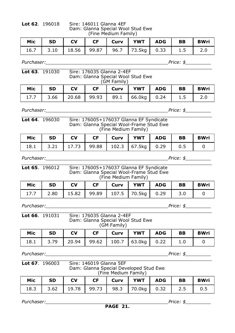|  | L <b>ot 62</b> . 196018 |  |
|--|-------------------------|--|
|  |                         |  |

**Lot 62**. 196018 Sire: 146011 Glanna 4EF Dam: Glanna Special Wool Stud Ewe (Fine Medium Family)

| Mic SD |  | CV   CF   Curv   YWT   ADG   BB   BWri           |  |  |
|--------|--|--------------------------------------------------|--|--|
|        |  | $16.7$ 3.10 18.56 99.87 96.7 73.5kg 0.33 1.5 2.0 |  |  |

*Purchaser:\_\_\_\_\_\_\_\_\_\_\_\_\_\_\_\_\_\_\_\_\_\_\_\_\_\_\_\_\_\_\_\_\_\_\_\_\_\_\_\_\_\_\_Price: \$\_\_\_\_\_\_\_\_\_*

| <b>Lot 63.</b> $191030$ | Sire: 176035 Glanna 2-4EF         |
|-------------------------|-----------------------------------|
|                         | Dam: Glanna Special Wool Stud Ewe |
|                         | (GM Family)                       |

| Mic | l SD | <b>CV</b> |  | YWT   ADG                                  | BB | <b>BWri</b> |
|-----|------|-----------|--|--------------------------------------------|----|-------------|
|     |      |           |  | 17.7 3.66 20.68 99.93 89.1 66.0kg 0.24 1.5 |    |             |

*Purchaser:\_\_\_\_\_\_\_\_\_\_\_\_\_\_\_\_\_\_\_\_\_\_\_\_\_\_\_\_\_\_\_\_\_\_\_\_\_\_\_\_\_\_\_Price: \$\_\_\_\_\_\_\_\_\_*

| <b>Lot 64.</b> $196030$ | Sire: 176005+176037 Glanna EF Syndicate |
|-------------------------|-----------------------------------------|
|                         | Dam: Glanna Special Wool-Frame Stud Ewe |
|                         | (Fine Medium Family)                    |

| Mic SD | <b>CV</b> |  | CF   Curv   YWT   ADG   BB                  |  | <b>BWri</b> |
|--------|-----------|--|---------------------------------------------|--|-------------|
|        |           |  | 18.1 3.21 17.73 99.88 102.3 67.5kg 0.29 0.5 |  |             |

*Purchaser:\_\_\_\_\_\_\_\_\_\_\_\_\_\_\_\_\_\_\_\_\_\_\_\_\_\_\_\_\_\_\_\_\_\_\_\_\_\_\_\_\_\_\_Price: \$\_\_\_\_\_\_\_\_\_*

*\_\_\_\_\_\_\_\_\_\_\_\_\_\_\_\_\_\_\_\_\_\_\_\_\_\_\_\_\_\_\_\_\_\_\_\_\_\_\_\_\_\_\_\_\_\_\_\_\_\_\_\_\_\_\_\_\_\_\_\_\_\_\_\_\_\_\_* **Lot 65**. 196012 Sire: 176005+176037 Glanna EF Syndicate Dam: Glanna Special Wool-Frame Stud Ewe (Fine Medium Family)

| Mic | <b>SD</b> | <b>CV</b> | $CF$ | Curv   YWT   ADG                                   | <b>BB</b> | <b>BWri</b> |
|-----|-----------|-----------|------|----------------------------------------------------|-----------|-------------|
|     |           |           |      | 2.80   15.82   99.89   107.5   70.5kg   0.29   3.0 |           |             |

*Purchaser:\_\_\_\_\_\_\_\_\_\_\_\_\_\_\_\_\_\_\_\_\_\_\_\_\_\_\_\_\_\_\_\_\_\_\_\_\_\_\_\_\_\_\_Price: \$\_\_\_\_\_\_\_\_\_*

## *\_\_\_\_\_\_\_\_\_\_\_\_\_\_\_\_\_\_\_\_\_\_\_\_\_\_\_\_\_\_\_\_\_\_\_\_\_\_\_\_\_\_\_\_\_\_\_\_\_\_\_\_\_\_\_\_\_\_\_\_\_\_\_\_\_\_\_* **Lot 66**. 191031 Sire: 176035 Glanna 2-4EF Dam: Glanna Special Wool Stud Ewe (GM Family)

| Mic SD |  | CV   CF   Curv   YWT   ADG   BB   BWri                    |  |  |
|--------|--|-----------------------------------------------------------|--|--|
|        |  | 18.1   3.79   20.94   99.62   100.7   63.0kg   0.22   1.0 |  |  |

*Purchaser:\_\_\_\_\_\_\_\_\_\_\_\_\_\_\_\_\_\_\_\_\_\_\_\_\_\_\_\_\_\_\_\_\_\_\_\_\_\_\_\_\_\_\_Price: \$\_\_\_\_\_\_\_\_\_*

### *\_\_\_\_\_\_\_\_\_\_\_\_\_\_\_\_\_\_\_\_\_\_\_\_\_\_\_\_\_\_\_\_\_\_\_\_\_\_\_\_\_\_\_\_\_\_\_\_\_\_\_\_\_\_\_\_\_\_\_\_\_\_\_\_\_\_\_* **Lot 67**. 196003 Sire: 146019 Glanna 5EF Dam: Glanna Special Developed Stud Ewe (Fine Medium Family)

| Mic SD |  |  | CV   CF   Curv   YWT   ADG   BB   BWri                         |  |  |
|--------|--|--|----------------------------------------------------------------|--|--|
|        |  |  | 18.3   3.62   19.78   99.73   98.3   70.0kg   0.32   2.5   0.5 |  |  |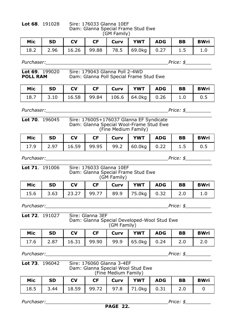**Lot 68**. 191028 Sire: 176033 Glanna 10EF Dam: Glanna Special Frame Stud Ewe (GM Family)

| Mic | <b>SD</b> | $\overline{\phantom{a}}$ CV |  | CF Curv YWT ADG BB                             |  | <b>BWri</b> |
|-----|-----------|-----------------------------|--|------------------------------------------------|--|-------------|
|     |           |                             |  | 18.2 2.96 16.26 99.88 78.5 69.0kg 0.27 1.5 1.0 |  |             |

*Purchaser:*<br> $\blacksquare$ 

*\_\_\_\_\_\_\_\_\_\_\_\_\_\_\_\_\_\_\_\_\_\_\_\_\_\_\_\_\_\_\_\_\_\_\_\_\_\_\_\_\_\_\_\_\_\_\_\_\_\_\_\_\_\_\_\_\_\_\_\_\_\_\_\_\_\_\_*

| <b>Lot 69.</b> $199020$ | Sire: 179043 Glanna Poll 2-4WD          |
|-------------------------|-----------------------------------------|
| <b>POLL RAM</b>         | Dam: Glanna Poll Special Frame Stud Ewe |

| Mic | <b>SD</b> | <b>CV</b> |  | CF   Curv   YWT   ADG                       | BB | <b>BWri</b> |
|-----|-----------|-----------|--|---------------------------------------------|----|-------------|
|     |           |           |  | 18.7 3.10 16.58 99.84 106.6 64.0kg 0.26 1.0 |    |             |

*Purchaser:\_\_\_\_\_\_\_\_\_\_\_\_\_\_\_\_\_\_\_\_\_\_\_\_\_\_\_\_\_\_\_\_\_\_\_\_\_\_\_\_\_\_\_Price: \$\_\_\_\_\_\_\_\_\_*

| <b>Lot 70.</b> 196045 | Sire: 176005+176037 Glanna EF Syndicate<br>Dam: Glanna Special Wool-Frame Stud Ewe<br>(Fine Medium Family) |
|-----------------------|------------------------------------------------------------------------------------------------------------|

| Mic SD |  | CV   CF   Curv   YWT   ADG   BB   BWri |  |  |
|--------|--|----------------------------------------|--|--|
|        |  |                                        |  |  |

*Purchaser:\_\_\_\_\_\_\_\_\_\_\_\_\_\_\_\_\_\_\_\_\_\_\_\_\_\_\_\_\_\_\_\_\_\_\_\_\_\_\_\_\_\_\_Price: \$\_\_\_\_\_\_\_\_\_*

| <b>Lot 71.</b> 191006 | Sire: 176033 Glanna 10EF           |
|-----------------------|------------------------------------|
|                       | Dam: Glanna Special Frame Stud Ewe |
|                       | (GM Family)                        |

| Mic | $\vert$ SD | $\overline{\phantom{a}}$ $\overline{\phantom{a}}$ $\overline{\phantom{a}}$ $\overline{\phantom{a}}$ $\overline{\phantom{a}}$ $\overline{\phantom{a}}$ $\overline{\phantom{a}}$ $\overline{\phantom{a}}$ $\overline{\phantom{a}}$ $\overline{\phantom{a}}$ $\overline{\phantom{a}}$ $\overline{\phantom{a}}$ $\overline{\phantom{a}}$ $\overline{\phantom{a}}$ $\overline{\phantom{a}}$ $\overline{\phantom{a}}$ $\overline{\phantom{a}}$ $\overline{\phantom{a}}$ $\overline{\$ |  | CF   Curv   YWT   ADG                      | BB | <b>BWri</b> |
|-----|------------|---------------------------------------------------------------------------------------------------------------------------------------------------------------------------------------------------------------------------------------------------------------------------------------------------------------------------------------------------------------------------------------------------------------------------------------------------------------------------------|--|--------------------------------------------|----|-------------|
|     |            |                                                                                                                                                                                                                                                                                                                                                                                                                                                                                 |  | 15.6 3.63 23.27 99.77 89.9 75.0kg 0.32 2.0 |    |             |

*Purchaser:\_\_\_\_\_\_\_\_\_\_\_\_\_\_\_\_\_\_\_\_\_\_\_\_\_\_\_\_\_\_\_\_\_\_\_\_\_\_\_\_\_\_\_Price: \$\_\_\_\_\_\_\_\_\_*

|     | <b>Lot 72.</b> 191027 |           | Sire: Glanna 3EF | Dam: Glanna Special Developed-Wool Stud Ewe<br>(GM Family) |     |            |    |      |
|-----|-----------------------|-----------|------------------|------------------------------------------------------------|-----|------------|----|------|
| Mic | <b>SD</b>             | <b>CV</b> |                  | Curv                                                       | YWT | <b>ADG</b> | BB | BWri |

| Mic | <b>SD</b> | $\overline{\phantom{a}}$ $\overline{\phantom{a}}$ $\overline{\phantom{a}}$ $\overline{\phantom{a}}$ $\overline{\phantom{a}}$ $\overline{\phantom{a}}$ $\overline{\phantom{a}}$ $\overline{\phantom{a}}$ $\overline{\phantom{a}}$ $\overline{\phantom{a}}$ $\overline{\phantom{a}}$ $\overline{\phantom{a}}$ $\overline{\phantom{a}}$ $\overline{\phantom{a}}$ $\overline{\phantom{a}}$ $\overline{\phantom{a}}$ $\overline{\phantom{a}}$ $\overline{\phantom{a}}$ $\overline{\$ |  | CF Curv YWT ADG                                          | BB | <b>BWri</b> |
|-----|-----------|---------------------------------------------------------------------------------------------------------------------------------------------------------------------------------------------------------------------------------------------------------------------------------------------------------------------------------------------------------------------------------------------------------------------------------------------------------------------------------|--|----------------------------------------------------------|----|-------------|
|     |           |                                                                                                                                                                                                                                                                                                                                                                                                                                                                                 |  | 17.6   2.87   16.31   99.90   99.9   65.0kg   0.24   2.0 |    | 2.0         |

## *\_\_\_\_\_\_\_\_\_\_\_\_\_\_\_\_\_\_\_\_\_\_\_\_\_\_\_\_\_\_\_\_\_\_\_\_\_\_\_\_\_\_\_\_\_\_\_\_\_\_\_\_\_\_\_\_\_\_\_\_\_\_\_\_\_\_\_* **Lot 73**. 196042 Sire: 176060 Glanna 3-4EF Dam: Glanna Special Wool Stud Ewe (Fine Medium Family)

| Mic | <b>SD</b> | $\overline{\phantom{a}}$ CV |  | CF   Curv   YWT   ADG                      | BB | <b>BWri</b> |
|-----|-----------|-----------------------------|--|--------------------------------------------|----|-------------|
|     |           |                             |  | 18.5 3.44 18.59 99.72 97.8 71.0kg 0.31 2.0 |    |             |

*Purchaser:\_\_\_\_\_\_\_\_\_\_\_\_\_\_\_\_\_\_\_\_\_\_\_\_\_\_\_\_\_\_\_\_\_\_\_\_\_\_\_\_\_\_\_Price: \$\_\_\_\_\_\_\_\_\_*

*Purchaser:\_\_\_\_\_\_\_\_\_\_\_\_\_\_\_\_\_\_\_\_\_\_\_\_\_\_\_\_\_\_\_\_\_\_\_\_\_\_\_\_\_\_\_Price: \$\_\_\_\_\_\_\_\_\_*

*\_\_\_\_\_\_\_\_\_\_\_\_\_\_\_\_\_\_\_\_\_\_\_\_\_\_\_\_\_\_\_\_\_\_\_\_\_\_\_\_\_\_\_\_\_\_\_\_\_\_\_\_\_\_\_\_\_\_\_\_\_\_\_\_\_\_\_*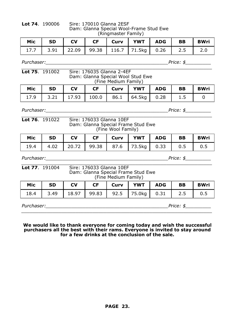**Lot 74**. 190006 Sire: 170010 Glanna 2ESF Dam: Glanna Special Wool-Frame Stud Ewe (Ringmaster Family)

| Mic | <b>SD</b> | <b>I</b> CV |  | CF   Curv   YWT   ADG   BB                  |  | BWri |
|-----|-----------|-------------|--|---------------------------------------------|--|------|
|     |           |             |  | 17.7 3.91 22.09 99.38 116.7 71.5kg 0.26 2.5 |  |      |

*\_\_\_\_\_\_\_\_\_\_\_\_\_\_\_\_\_\_\_\_\_\_\_\_\_\_\_\_\_\_\_\_\_\_\_\_\_\_\_\_\_\_\_\_\_\_\_\_\_\_\_\_\_\_\_\_\_\_\_\_\_\_\_\_\_\_\_*

*Purchaser:*<br> $\blacksquare$ 

## **Lot 75**. 191002 Sire: 176035 Glanna 2-4EF Dam: Glanna Special Wool Stud Ewe (Fine Medium Family)

| Mic   SD   CV |  | CF   Curv   YWT   ADG   BB                 |  | <b>BWri</b> |
|---------------|--|--------------------------------------------|--|-------------|
|               |  | 17.9 3.21 17.93 100.0 86.1 64.5kg 0.28 1.5 |  |             |

*Purchaser:\_\_\_\_\_\_\_\_\_\_\_\_\_\_\_\_\_\_\_\_\_\_\_\_\_\_\_\_\_\_\_\_\_\_\_\_\_\_\_\_\_\_\_Price: \$\_\_\_\_\_\_\_\_\_*

| <b>Lot 76.</b> $191022$ | Sire: 176033 Glanna 10EF           |
|-------------------------|------------------------------------|
|                         | Dam: Glanna Special Frame Stud Ewe |
|                         | (Fine Wool Family)                 |

|  |  | Mic   SD   CV   CF   Curv   YWT   ADG   BB   BWri              |  |  |
|--|--|----------------------------------------------------------------|--|--|
|  |  | 19.4   4.02   20.72   99.38   87.6   73.5kg   0.33   0.5   0.5 |  |  |

*Purchaser:\_\_\_\_\_\_\_\_\_\_\_\_\_\_\_\_\_\_\_\_\_\_\_\_\_\_\_\_\_\_\_\_\_\_\_\_\_\_\_\_\_\_\_Price: \$\_\_\_\_\_\_\_\_\_*

| <b>Lot 77</b> . 191004 |           |       | Sire: 176033 Glanna 10EF | (Fine Medium Family) | Dam: Glanna Special Frame Stud Ewe |            |           |             |
|------------------------|-----------|-------|--------------------------|----------------------|------------------------------------|------------|-----------|-------------|
| Mic                    | <b>SD</b> | CV    | <b>CF</b>                | Curv                 | <b>YWT</b>                         | <b>ADG</b> | <b>BB</b> | <b>BWri</b> |
| 184                    | २ ४१      | 18 97 | 99.83                    | 92 F                 |                                    |            |           |             |

| 18.4       |  |  | 3.49   18.97   99.83   92.5   75.0kg   0.31   2.5 |        |  |
|------------|--|--|---------------------------------------------------|--------|--|
| Purchaser: |  |  |                                                   | Price: |  |

**We would like to thank everyone for coming today and wish the successful purchasers all the best with their rams. Everyone is invited to stay around for a few drinks at the conclusion of the sale.**

*\_\_\_\_\_\_\_\_\_\_\_\_\_\_\_\_\_\_\_\_\_\_\_\_\_\_\_\_\_\_\_\_\_\_\_\_\_\_\_\_\_\_\_\_\_\_\_\_\_\_\_\_\_\_\_\_\_\_\_\_\_\_\_\_\_\_\_*